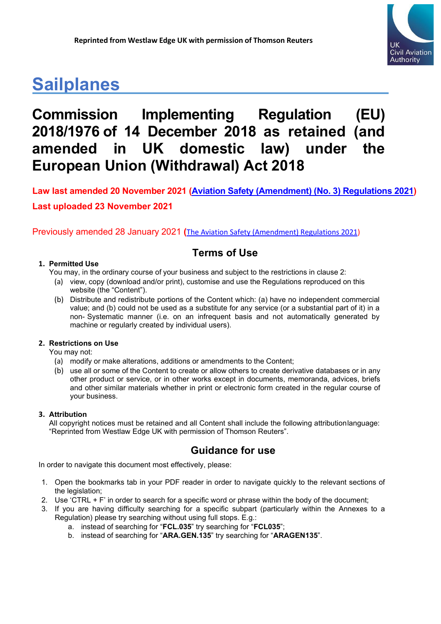

# **Sailplanes**

# **Commission Implementing Regulation (EU) 2018/1976 of 14 December 2018 as retained (and amended in UK domestic law) under the European Union (Withdrawal) Act 2018**

Previously amended 28 January 2021 **(**[The Aviation Safety \(Amendment\) Regulations 2021\)](https://www.legislation.gov.uk/uksi/2021/10/regulation/1/made)

## **Terms of Use**

### **1. Permitted Use**

- You may, in the ordinary course of your business and subject to the restrictions in clause 2:
	- (a) view, copy (download and/or print), customise and use the Regulations reproduced on this website (the "Content").
	- (b) Distribute and redistribute portions of the Content which: (a) have no independent commercial value; and (b) could not be used as a substitute for any service (or a substantial part of it) in a non- Systematic manner (i.e. on an infrequent basis and not automatically generated by machine or regularly created by individual users).

### **2. Restrictions on Use**

You may not:

- (a) modify or make alterations, additions or amendments to the Content;
- (b) use all or some of the Content to create or allow others to create derivative databases or in any other product or service, or in other works except in documents, memoranda, advices, briefs and other similar materials whether in print or electronic form created in the regular course of your business.

### **3. Attribution**

All copyright notices must be retained and all Content shall include the following attributionlanguage: "Reprinted from Westlaw Edge UK with permission of Thomson Reuters".

## **Guidance for use**

In order to navigate this document most effectively, please:

- 1. Open the bookmarks tab in your PDF reader in order to navigate quickly to the relevant sections of the legislation;
- 2. Use 'CTRL + F' in order to search for a specific word or phrase within the body of the document;
- 3. If you are having difficulty searching for a specific subpart (particularly within the Annexes to a Regulation) please try searching without using full stops. E.g.:
	- a. instead of searching for "**FCL.035**" try searching for "**FCL035**";
	- b. instead of searching for "**ARA.GEN.135**" try searching for "**ARAGEN135**".

**Law last amended 20 November 2021 [\(Aviation Safety \(Amendment\) \(No. 3\) Regulations 2021\)](https://www.legislation.gov.uk/uksi/2021/1203/contents/made) Last uploaded 23 November 2021**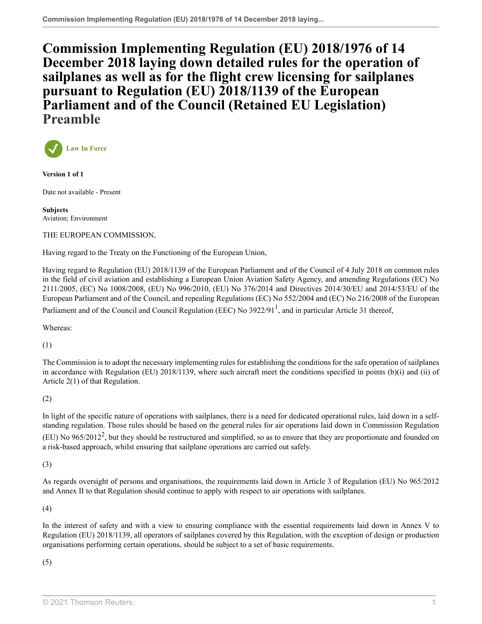**[Commission Implementing Regulation \(EU\) 2018/1976 of 14](http://uk.westlaw.com/Document/I74FDCB80FA3211EAACB48524E43BB284/View/FullText.html?originationContext=document&transitionType=DocumentItem&vr=3.0&rs=PLUK1.0&contextData=(sc.Search)) [December 2018 laying down detailed rules for the operation of](http://uk.westlaw.com/Document/I74FDCB80FA3211EAACB48524E43BB284/View/FullText.html?originationContext=document&transitionType=DocumentItem&vr=3.0&rs=PLUK1.0&contextData=(sc.Search)) [sailplanes as well as for the flight crew licensing for sailplanes](http://uk.westlaw.com/Document/I74FDCB80FA3211EAACB48524E43BB284/View/FullText.html?originationContext=document&transitionType=DocumentItem&vr=3.0&rs=PLUK1.0&contextData=(sc.Search)) [pursuant to Regulation \(EU\) 2018/1139 of the European](http://uk.westlaw.com/Document/I74FDCB80FA3211EAACB48524E43BB284/View/FullText.html?originationContext=document&transitionType=DocumentItem&vr=3.0&rs=PLUK1.0&contextData=(sc.Search)) [Parliament and of the Council \(Retained EU Legislation\)](http://uk.westlaw.com/Document/I74FDCB80FA3211EAACB48524E43BB284/View/FullText.html?originationContext=document&transitionType=DocumentItem&vr=3.0&rs=PLUK1.0&contextData=(sc.Search)) Preamble**



**Version 1 of 1**

Date not available - Present

**Subjects** Aviation; Environment

#### THE EUROPEAN COMMISSION,

Having regard to the Treaty on the Functioning of the European Union,

Having regard to Regulation (EU) 2018/1139 of the European Parliament and of the Council of 4 July 2018 on common rules in the field of civil aviation and establishing a European Union Aviation Safety Agency, and amending Regulations (EC) No 2111/2005, (EC) No 1008/2008, (EU) No 996/2010, (EU) No 376/2014 and Directives 2014/30/EU and 2014/53/EU of the European Parliament and of the Council, and repealing Regulations (EC) No 552/2004 and (EC) No 216/2008 of the European

<span id="page-1-0"></span>Parliament and of the Council and Council Regulation (EEC) No 3922/9[1](#page-2-0)<sup>1</sup>, and in particular Article 31 thereof,

Whereas:

(1)

The Commission is to adopt the necessary implementing rules for establishing the conditions for the safe operation of sailplanes in accordance with Regulation (EU) 2018/1139, where such aircraft meet the conditions specified in points (b)(i) and (ii) of Article 2(1) of that Regulation.

### (2)

<span id="page-1-1"></span>In light of the specific nature of operations with sailplanes, there is a need for dedicated operational rules, laid down in a selfstanding regulation. Those rules should be based on the general rules for air operations laid down in Commission Regulation (EU) No  $965/2012^2$  $965/2012^2$  $965/2012^2$ , but they should be restructured and simplified, so as to ensure that they are proportionate and founded on a risk-based approach, whilst ensuring that sailplane operations are carried out safely.

(3)

As regards oversight of persons and organisations, the requirements laid down in Article 3 of Regulation (EU) No 965/2012 and Annex II to that Regulation should continue to apply with respect to air operations with sailplanes.

(4)

In the interest of safety and with a view to ensuring compliance with the essential requirements laid down in Annex V to Regulation (EU) 2018/1139, all operators of sailplanes covered by this Regulation, with the exception of design or production organisations performing certain operations, should be subject to a set of basic requirements.

(5)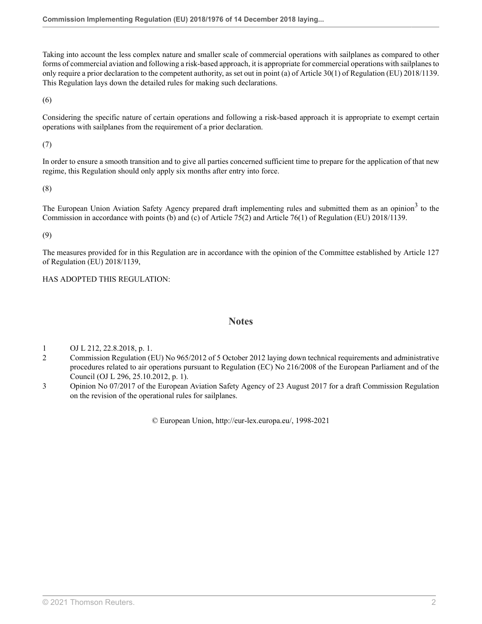Taking into account the less complex nature and smaller scale of commercial operations with sailplanes as compared to other forms of commercial aviation and following a risk-based approach, it is appropriate for commercial operations with sailplanes to only require a prior declaration to the competent authority, as set out in point (a) of Article 30(1) of Regulation (EU) 2018/1139. This Regulation lays down the detailed rules for making such declarations.

(6)

Considering the specific nature of certain operations and following a risk-based approach it is appropriate to exempt certain operations with sailplanes from the requirement of a prior declaration.

(7)

In order to ensure a smooth transition and to give all parties concerned sufficient time to prepare for the application of that new regime, this Regulation should only apply six months after entry into force.

(8)

The European Union Aviation Safety Agency prepared draft implementing rules and submitted them as an opinion<sup>[3](#page-2-2)</sup> to the Commission in accordance with points (b) and (c) of Article 75(2) and Article 76(1) of Regulation (EU) 2018/1139.

(9)

The measures provided for in this Regulation are in accordance with the opinion of the Committee established by Article 127 of Regulation (EU) 2018/1139,

HAS ADOPTED THIS REGULATION:

### <span id="page-2-3"></span>**Notes**

- <span id="page-2-0"></span>[1](#page-1-0) OJ L 212, 22.8.2018, p. 1.
- <span id="page-2-1"></span>[2](#page-1-1) Commission Regulation (EU) No 965/2012 of 5 October 2012 laying down technical requirements and administrative procedures related to air operations pursuant to Regulation (EC) No 216/2008 of the European Parliament and of the Council (OJ L 296, 25.10.2012, p. 1).
- <span id="page-2-2"></span>[3](#page-2-3) Opinion No 07/2017 of the European Aviation Safety Agency of 23 August 2017 for a draft Commission Regulation on the revision of the operational rules for sailplanes.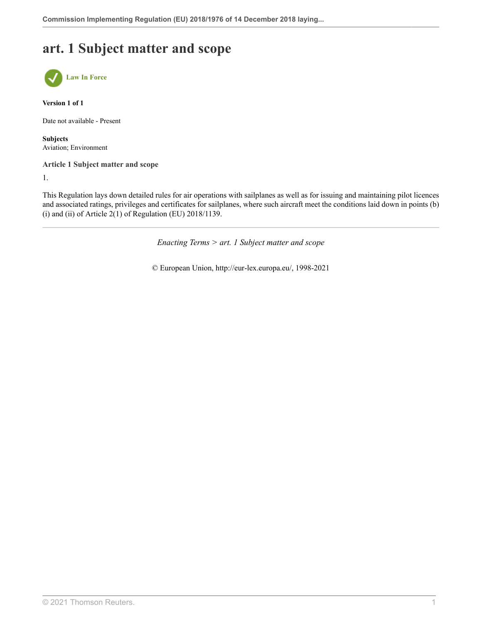## **art. 1 Subject matter and scope**



**Version 1 of 1**

Date not available - Present

**Subjects** Aviation; Environment

**Article 1 Subject matter and scope**

1.

This Regulation lays down detailed rules for air operations with sailplanes as well as for issuing and maintaining pilot licences and associated ratings, privileges and certificates for sailplanes, where such aircraft meet the conditions laid down in points (b) (i) and (ii) of Article  $2(1)$  of Regulation (EU)  $2018/1139$ .

*Enacting Terms > art. 1 Subject matter and scope*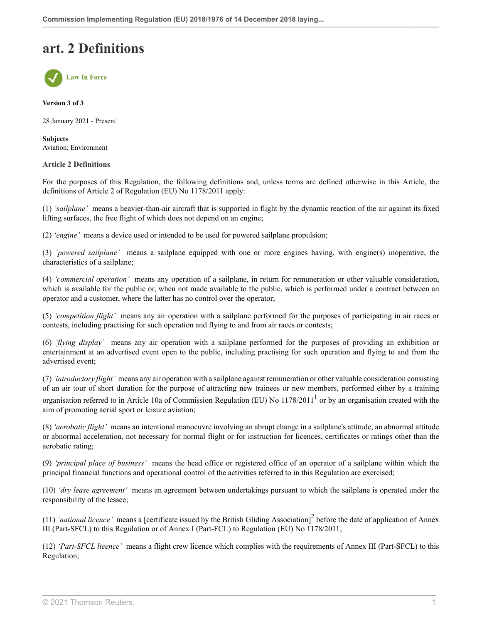## **art. 2 Definitions**



**Version 3 of 3**

28 January 2021 - Present

**Subjects** Aviation; Environment

#### **Article 2 Definitions**

For the purposes of this Regulation, the following definitions and, unless terms are defined otherwise in this Article, the definitions of Article 2 of Regulation (EU) No 1178/2011 apply:

(1) *'sailplane'* means a heavier-than-air aircraft that is supported in flight by the dynamic reaction of the air against its fixed lifting surfaces, the free flight of which does not depend on an engine;

(2) *'engine'* means a device used or intended to be used for powered sailplane propulsion;

(3) *'powered sailplane'* means a sailplane equipped with one or more engines having, with engine(s) inoperative, the characteristics of a sailplane;

(4) *'commercial operation'* means any operation of a sailplane, in return for remuneration or other valuable consideration, which is available for the public or, when not made available to the public, which is performed under a contract between an operator and a customer, where the latter has no control over the operator;

(5) *'competition flight'* means any air operation with a sailplane performed for the purposes of participating in air races or contests, including practising for such operation and flying to and from air races or contests;

(6) *'flying display'* means any air operation with a sailplane performed for the purposes of providing an exhibition or entertainment at an advertised event open to the public, including practising for such operation and flying to and from the advertised event;

(7) *'introductory flight'* means any air operation with a sailplane against remuneration or other valuable consideration consisting of an air tour of short duration for the purpose of attracting new trainees or new members, performed either by a training

<span id="page-4-0"></span>organisation referred to in Article [1](#page-5-0)0a of Commission Regulation (EU) No  $1178/2011<sup>1</sup>$  or by an organisation created with the aim of promoting aerial sport or leisure aviation;

(8) *'aerobatic flight'* means an intentional manoeuvre involving an abrupt change in a sailplane's attitude, an abnormal attitude or abnormal acceleration, not necessary for normal flight or for instruction for licences, certificates or ratings other than the aerobatic rating;

(9) *'principal place of business'* means the head office or registered office of an operator of a sailplane within which the principal financial functions and operational control of the activities referred to in this Regulation are exercised;

(10) *'dry lease agreement'* means an agreement between undertakings pursuant to which the sailplane is operated under the responsibility of the lessee;

<span id="page-4-1"></span>(11) 'national licence' means a [certificate issued by the British Gliding Association]<sup>[2](#page-5-1)</sup> before the date of application of Annex III (Part-SFCL) to this Regulation or of Annex I (Part-FCL) to Regulation (EU) No 1178/2011;

(12) *'Part-SFCL licence'* means a flight crew licence which complies with the requirements of Annex III (Part-SFCL) to this Regulation;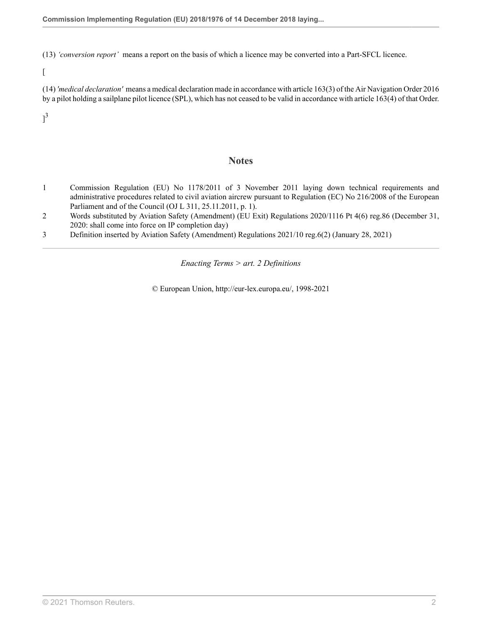(13) *'conversion report'* means a report on the basis of which a licence may be converted into a Part-SFCL licence.

 $\lceil$ 

(14) *'medical declaration'* means a medical declaration made in accordance with [article 163\(3\)](http://uk.westlaw.com/Document/I0DF5435052E311E686C2D14C34A48DDE/View/FullText.html?originationContext=document&transitionType=DocumentItem&vr=3.0&rs=PLUK1.0&contextData=(sc.Search)) of the [Air Navigation Order 2016](http://uk.westlaw.com/Document/IFB20F86052E111E6A6AF8D1CDE5E7BD2/View/FullText.html?originationContext=document&transitionType=DocumentItem&vr=3.0&rs=PLUK1.0&contextData=(sc.Search)) by a pilot holding a sailplane pilot licence (SPL), which has not ceased to be valid in accordance with [article 163\(4\)](http://uk.westlaw.com/Document/I0DF5435052E311E686C2D14C34A48DDE/View/FullText.html?originationContext=document&transitionType=DocumentItem&vr=3.0&rs=PLUK1.0&contextData=(sc.Search)) of that Order.

<span id="page-5-3"></span> $]^{3}$  $]^{3}$  $]^{3}$ 

### **Notes**

- <span id="page-5-0"></span>[1](#page-4-0) Commission Regulation (EU) No 1178/2011 of 3 November 2011 laying down technical requirements and administrative procedures related to civil aviation aircrew pursuant to Regulation (EC) No 216/2008 of the European Parliament and of the Council (OJ L 311, 25.11.2011, p. 1).
- <span id="page-5-1"></span>[2](#page-4-1) Words substituted by Aviation Safety (Amendment) (EU Exit) Regulations 2020/1116 [Pt 4\(6\) reg.86](http://uk.westlaw.com/Document/I0DCB6FF00E9E11EBA7DFEE51C635DBBB/View/FullText.html?originationContext=document&transitionType=DocumentItem&vr=3.0&rs=PLUK1.0&contextData=(sc.Search)) (December 31, 2020: shall come into force on IP completion day)
- <span id="page-5-2"></span>[3](#page-5-3) Definition inserted by Aviation Safety (Amendment) Regulations 2021/10 [reg.6\(2\)](http://uk.westlaw.com/Document/IB05168A0523D11EBB02597D7573F1600/View/FullText.html?originationContext=document&transitionType=DocumentItem&vr=3.0&rs=PLUK1.0&contextData=(sc.Search)) (January 28, 2021)

*Enacting Terms > art. 2 Definitions*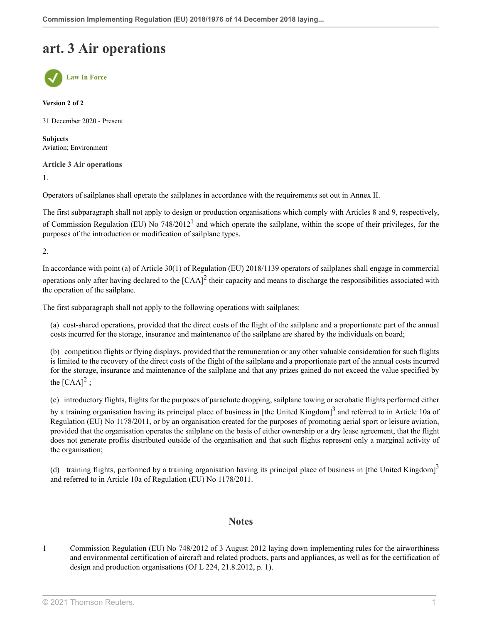## **art. 3 Air operations**



**Version 2 of 2**

31 December 2020 - Present

**Subjects** Aviation; Environment

**Article 3 Air operations**

1.

Operators of sailplanes shall operate the sailplanes in accordance with the requirements set out in Annex II.

<span id="page-6-1"></span>The first subparagraph shall not apply to design or production organisations which comply with Articles 8 and 9, respectively, of Commission Regulation (EU) No  $748/2012<sup>1</sup>$  $748/2012<sup>1</sup>$  $748/2012<sup>1</sup>$  and which operate the sailplane, within the scope of their privileges, for the purposes of the introduction or modification of sailplane types.

2.

In accordance with point (a) of Article 30(1) of Regulation (EU) 2018/1139 operators of sailplanes shall engage in commercial operations only after having declared to the  $[CAA]^2$  $[CAA]^2$  their capacity and means to discharge the responsibilities associated with the operation of the sailplane.

The first subparagraph shall not apply to the following operations with sailplanes:

<span id="page-6-2"></span>(a) cost-shared operations, provided that the direct costs of the flight of the sailplane and a proportionate part of the annual costs incurred for the storage, insurance and maintenance of the sailplane are shared by the individuals on board;

(b) competition flights or flying displays, provided that the remuneration or any other valuable consideration for such flights is limited to the recovery of the direct costs of the flight of the sailplane and a proportionate part of the annual costs incurred for the storage, insurance and maintenance of the sailplane and that any prizes gained do not exceed the value specified by the  $[{\rm CAA}]^2$  $[{\rm CAA}]^2$ ;

(c) introductory flights, flights for the purposes of parachute dropping, sailplane towing or aerobatic flights performed either

by a training organisation having its principal place of business in [the United Kingdom]<sup>[3](#page-7-1)</sup> and referred to in Article 10a of Regulation (EU) No 1178/2011, or by an organisation created for the purposes of promoting aerial sport or leisure aviation, provided that the organisation operates the sailplane on the basis of either ownership or a dry lease agreement, that the flight does not generate profits distributed outside of the organisation and that such flights represent only a marginal activity of the organisation;

(d) training flights, performed by a training organisation having its principal place of business in [the United Kingdom] $^3$  $^3$ and referred to in Article 10a of Regulation (EU) No 1178/2011.

### <span id="page-6-3"></span>**Notes**

<span id="page-6-0"></span>[1](#page-6-1) Commission Regulation (EU) No 748/2012 of 3 August 2012 laying down implementing rules for the airworthiness and environmental certification of aircraft and related products, parts and appliances, as well as for the certification of design and production organisations (OJ L 224, 21.8.2012, p. 1).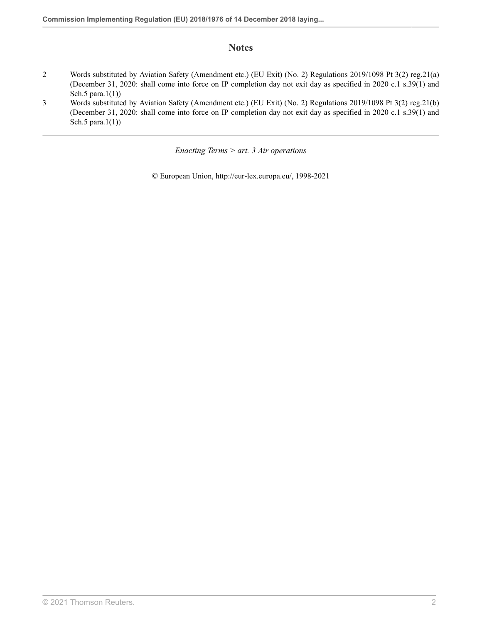## **Notes**

- <span id="page-7-0"></span>[2](#page-6-2) Words substituted by Aviation Safety (Amendment etc.) (EU Exit) (No. 2) Regulations 2019/1098 [Pt 3\(2\) reg.21\(a\)](http://uk.westlaw.com/Document/ID5D5F860A46611E9AA46BDE62A47EF6F/View/FullText.html?originationContext=document&transitionType=DocumentItem&vr=3.0&rs=PLUK1.0&contextData=(sc.Search)) (December 31, 2020: shall come into force on IP completion day not exit day as specified in 2020 c.1 s.39(1) and Sch.5 para.1(1))
- <span id="page-7-1"></span>[3](#page-6-3) Words substituted by Aviation Safety (Amendment etc.) (EU Exit) (No. 2) Regulations 2019/1098 [Pt 3\(2\) reg.21\(b\)](http://uk.westlaw.com/Document/ID5D5F860A46611E9AA46BDE62A47EF6F/View/FullText.html?originationContext=document&transitionType=DocumentItem&vr=3.0&rs=PLUK1.0&contextData=(sc.Search)) (December 31, 2020: shall come into force on IP completion day not exit day as specified in 2020 c.1 s.39(1) and Sch.5 para.1(1))

*Enacting Terms > art. 3 Air operations*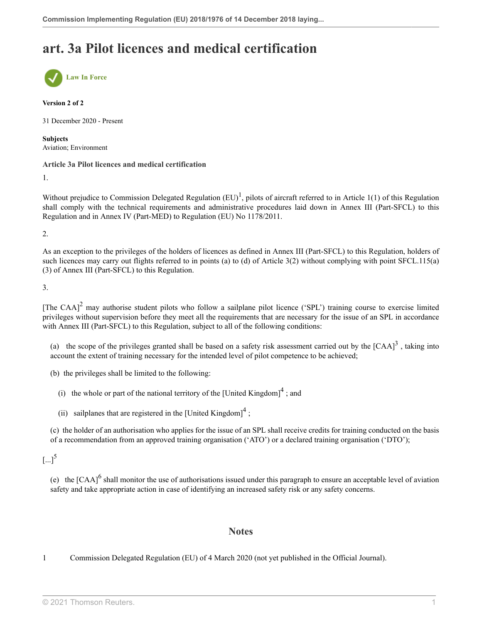## **art. 3a Pilot licences and medical certification**



#### **Version 2 of 2**

31 December 2020 - Present

**Subjects** Aviation; Environment

#### **Article 3a Pilot licences and medical certification**

1.

<span id="page-8-1"></span>Without prejudice to Commission Delegated Regulation  $(EU)^{1}$  $(EU)^{1}$  $(EU)^{1}$ , pilots of aircraft referred to in Article 1(1) of this Regulation shall comply with the technical requirements and administrative procedures laid down in Annex III (Part-SFCL) to this Regulation and in Annex IV (Part-MED) to Regulation (EU) No 1178/2011.

2.

As an exception to the privileges of the holders of licences as defined in Annex III (Part-SFCL) to this Regulation, holders of such licences may carry out flights referred to in points (a) to (d) of Article 3(2) without complying with point SFCL.115(a) (3) of Annex III (Part-SFCL) to this Regulation.

3.

<span id="page-8-2"></span>[The CAA]<sup>[2](#page-9-0)</sup> may authorise student pilots who follow a sailplane pilot licence ('SPL') training course to exercise limited privileges without supervision before they meet all the requirements that are necessary for the issue of an SPL in accordance with Annex III (Part-SFCL) to this Regulation, subject to all of the following conditions:

(a) the scope of the privileges granted shall be based on a safety risk assessment carried out by the  $[CAA]<sup>3</sup>$  $[CAA]<sup>3</sup>$  $[CAA]<sup>3</sup>$ , taking into account the extent of training necessary for the intended level of pilot competence to be achieved;

(b) the privileges shall be limited to the following:

(i) the whole or part of the national territory of the [United Kingdom]<sup>[4](#page-9-2)</sup>; and

(ii) sailplanes that are registered in the [United Kingdom]<sup>[4](#page-9-2)</sup>;

(c) the holder of an authorisation who applies for the issue of an SPL shall receive credits for training conducted on the basis of a recommendation from an approved training organisation ('ATO') or a declared training organisation ('DTO');

<span id="page-8-5"></span> $\lbrack ... \rbrack^5$  $\lbrack ... \rbrack^5$ 

<span id="page-8-6"></span>(e) the  $[CAA]$ <sup>[6](#page-9-4)</sup> shall monitor the use of authorisations issued under this paragraph to ensure an acceptable level of aviation safety and take appropriate action in case of identifying an increased safety risk or any safety concerns.

### <span id="page-8-4"></span><span id="page-8-3"></span>**Notes**

<span id="page-8-0"></span>[1](#page-8-1) Commission Delegated Regulation (EU) of 4 March 2020 (not yet published in the Official Journal).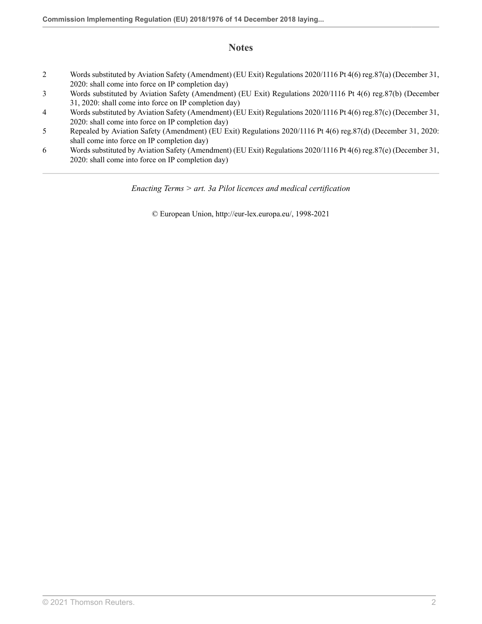## **Notes**

- <span id="page-9-0"></span>[2](#page-8-2) Words substituted by Aviation Safety (Amendment) (EU Exit) Regulations 2020/1116 [Pt 4\(6\) reg.87\(a\)](http://uk.westlaw.com/Document/I9B00BAB00E9E11EBA7DFEE51C635DBBB/View/FullText.html?originationContext=document&transitionType=DocumentItem&vr=3.0&rs=PLUK1.0&contextData=(sc.Search)) (December 31, 2020: shall come into force on IP completion day)
- <span id="page-9-1"></span>[3](#page-8-3) Words substituted by Aviation Safety (Amendment) (EU Exit) Regulations 2020/1116 [Pt 4\(6\) reg.87\(b\)](http://uk.westlaw.com/Document/I9B00BAB00E9E11EBA7DFEE51C635DBBB/View/FullText.html?originationContext=document&transitionType=DocumentItem&vr=3.0&rs=PLUK1.0&contextData=(sc.Search)) (December 31, 2020: shall come into force on IP completion day)
- <span id="page-9-2"></span>[4](#page-8-4) Words substituted by Aviation Safety (Amendment) (EU Exit) Regulations 2020/1116 [Pt 4\(6\) reg.87\(c\)](http://uk.westlaw.com/Document/I9B00BAB00E9E11EBA7DFEE51C635DBBB/View/FullText.html?originationContext=document&transitionType=DocumentItem&vr=3.0&rs=PLUK1.0&contextData=(sc.Search)) (December 31, 2020: shall come into force on IP completion day)
- <span id="page-9-3"></span>[5](#page-8-5) Repealed by Aviation Safety (Amendment) (EU Exit) Regulations 2020/1116 [Pt 4\(6\) reg.87\(d\)](http://uk.westlaw.com/Document/I9B00BAB00E9E11EBA7DFEE51C635DBBB/View/FullText.html?originationContext=document&transitionType=DocumentItem&vr=3.0&rs=PLUK1.0&contextData=(sc.Search)) (December 31, 2020: shall come into force on IP completion day)
- <span id="page-9-4"></span>[6](#page-8-6) Words substituted by Aviation Safety (Amendment) (EU Exit) Regulations 2020/1116 [Pt 4\(6\) reg.87\(e\)](http://uk.westlaw.com/Document/I9B00BAB00E9E11EBA7DFEE51C635DBBB/View/FullText.html?originationContext=document&transitionType=DocumentItem&vr=3.0&rs=PLUK1.0&contextData=(sc.Search)) (December 31, 2020: shall come into force on IP completion day)

*Enacting Terms > art. 3a Pilot licences and medical certification*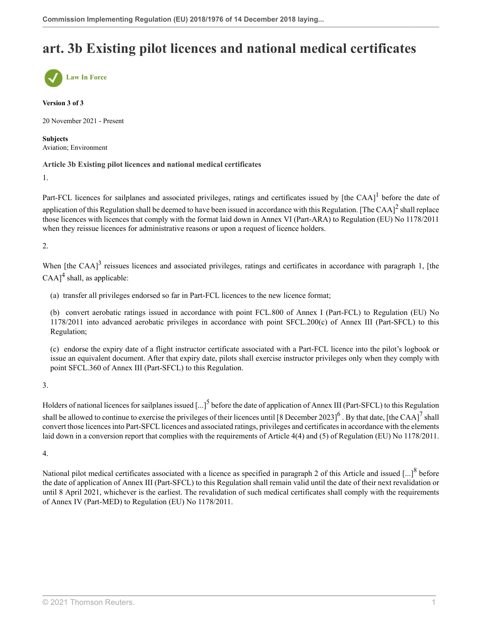## **art. 3b Existing pilot licences and national medical certificates**



#### **Version 3 of 3**

20 November 2021 - Present

**Subjects** Aviation; Environment

#### **Article 3b Existing pilot licences and national medical certificates**

1.

<span id="page-10-1"></span><span id="page-10-0"></span>Part-FCL licences for sailplanes and associated privileges, ratings and certificates issued by [the CAA] $^1$  $^1$  before the date of application of this Regulation shall be deemed to have been issued in accordance with this Regulation. [The CAA] $^2$  $^2$  shall replace those licences with licences that comply with the format laid down in Annex VI (Part-ARA) to Regulation (EU) No 1178/2011 when they reissue licences for administrative reasons or upon a request of licence holders.

2.

<span id="page-10-3"></span><span id="page-10-2"></span>When [the CAA]<sup>[3](#page-11-2)</sup> reissues licences and associated privileges, ratings and certificates in accordance with paragraph 1, [the  $\text{CAA}$ <sup>[4](#page-11-3)</sup> shall, as applicable:

(a) transfer all privileges endorsed so far in Part-FCL licences to the new licence format;

(b) convert aerobatic ratings issued in accordance with point FCL.800 of Annex I (Part-FCL) to Regulation (EU) No 1178/2011 into advanced aerobatic privileges in accordance with point SFCL.200(c) of Annex III (Part-SFCL) to this Regulation;

<span id="page-10-6"></span><span id="page-10-5"></span>(c) endorse the expiry date of a flight instructor certificate associated with a Part-FCL licence into the pilot's logbook or issue an equivalent document. After that expiry date, pilots shall exercise instructor privileges only when they comply with point SFCL.360 of Annex III (Part-SFCL) to this Regulation.

3.

<span id="page-10-4"></span>Holders of national licences for sailplanes issued [...]<sup>[5](#page-11-4)</sup> before the date of application of Annex III (Part-SFCL) to this Regulation shall be allowed to continue to exercise the privileges of their licences until [8 December 2023]<sup>[6](#page-11-5)</sup>. By that date, [the CAA]<sup>[7](#page-11-6)</sup> shall convert those licences into Part-SFCL licences and associated ratings, privileges and certificates in accordance with the elements laid down in a conversion report that complies with the requirements of Article 4(4) and (5) of Regulation (EU) No 1178/2011.

4.

<span id="page-10-7"></span>National pilot medical certificates associated with a licence as specified in paragraph 2 of this Article and issued  $\left[...\right]^{8}$  $\left[...\right]^{8}$  $\left[...\right]^{8}$  before the date of application of Annex III (Part-SFCL) to this Regulation shall remain valid until the date of their next revalidation or until 8 April 2021, whichever is the earliest. The revalidation of such medical certificates shall comply with the requirements of Annex IV (Part-MED) to Regulation (EU) No 1178/2011.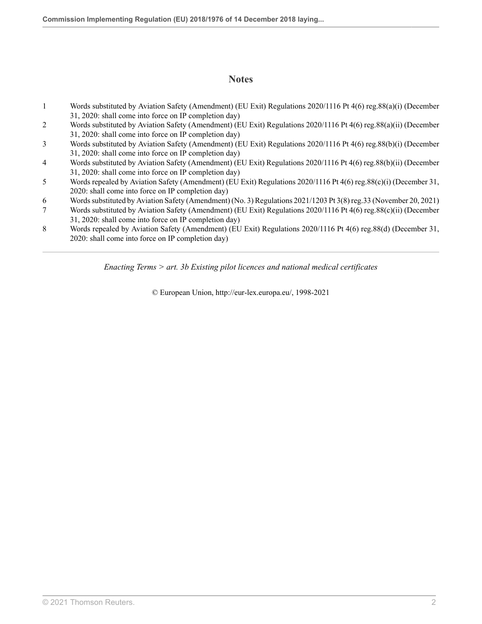## **Notes**

- <span id="page-11-0"></span>[1](#page-10-0) Words substituted by Aviation Safety (Amendment) (EU Exit) Regulations 2020/1116 [Pt 4\(6\) reg.88\(a\)\(i\)](http://uk.westlaw.com/Document/IABADAE400E9E11EBA7DFEE51C635DBBB/View/FullText.html?originationContext=document&transitionType=DocumentItem&vr=3.0&rs=PLUK1.0&contextData=(sc.Search)) (December 31, 2020: shall come into force on IP completion day)
- <span id="page-11-1"></span>[2](#page-10-1) Words substituted by Aviation Safety (Amendment) (EU Exit) Regulations 2020/1116 [Pt 4\(6\) reg.88\(a\)\(ii\)](http://uk.westlaw.com/Document/IABADAE400E9E11EBA7DFEE51C635DBBB/View/FullText.html?originationContext=document&transitionType=DocumentItem&vr=3.0&rs=PLUK1.0&contextData=(sc.Search)) (December 31, 2020: shall come into force on IP completion day)
- <span id="page-11-2"></span>[3](#page-10-2) Words substituted by Aviation Safety (Amendment) (EU Exit) Regulations 2020/1116 [Pt 4\(6\) reg.88\(b\)\(i\)](http://uk.westlaw.com/Document/IABADAE400E9E11EBA7DFEE51C635DBBB/View/FullText.html?originationContext=document&transitionType=DocumentItem&vr=3.0&rs=PLUK1.0&contextData=(sc.Search)) (December 31, 2020: shall come into force on IP completion day)
- <span id="page-11-3"></span>[4](#page-10-3) Words substituted by Aviation Safety (Amendment) (EU Exit) Regulations 2020/1116 [Pt 4\(6\) reg.88\(b\)\(ii\)](http://uk.westlaw.com/Document/IABADAE400E9E11EBA7DFEE51C635DBBB/View/FullText.html?originationContext=document&transitionType=DocumentItem&vr=3.0&rs=PLUK1.0&contextData=(sc.Search)) (December 31, 2020: shall come into force on IP completion day)
- <span id="page-11-4"></span>[5](#page-10-4) Words repealed by Aviation Safety (Amendment) (EU Exit) Regulations 2020/1116 [Pt 4\(6\) reg.88\(c\)\(i\)](http://uk.westlaw.com/Document/IABADAE400E9E11EBA7DFEE51C635DBBB/View/FullText.html?originationContext=document&transitionType=DocumentItem&vr=3.0&rs=PLUK1.0&contextData=(sc.Search)) (December 31, 2020: shall come into force on IP completion day)
- <span id="page-11-5"></span>[6](#page-10-5) Words substituted by Aviation Safety (Amendment) (No. 3) Regulations 2021/1203 [Pt 3\(8\) reg.33](http://uk.westlaw.com/Document/I5DC143A03A3411EC8C3F8DC6E4B22D01/View/FullText.html?originationContext=document&transitionType=DocumentItem&vr=3.0&rs=PLUK1.0&contextData=(sc.Search)) (November 20, 2021)
- <span id="page-11-6"></span>[7](#page-10-6) Words substituted by Aviation Safety (Amendment) (EU Exit) Regulations 2020/1116 [Pt 4\(6\) reg.88\(c\)\(ii\)](http://uk.westlaw.com/Document/IABADAE400E9E11EBA7DFEE51C635DBBB/View/FullText.html?originationContext=document&transitionType=DocumentItem&vr=3.0&rs=PLUK1.0&contextData=(sc.Search)) (December 31, 2020: shall come into force on IP completion day)
- <span id="page-11-7"></span>[8](#page-10-7) Words repealed by Aviation Safety (Amendment) (EU Exit) Regulations 2020/1116 [Pt 4\(6\) reg.88\(d\)](http://uk.westlaw.com/Document/IABADAE400E9E11EBA7DFEE51C635DBBB/View/FullText.html?originationContext=document&transitionType=DocumentItem&vr=3.0&rs=PLUK1.0&contextData=(sc.Search)) (December 31, 2020: shall come into force on IP completion day)

*Enacting Terms > art. 3b Existing pilot licences and national medical certificates*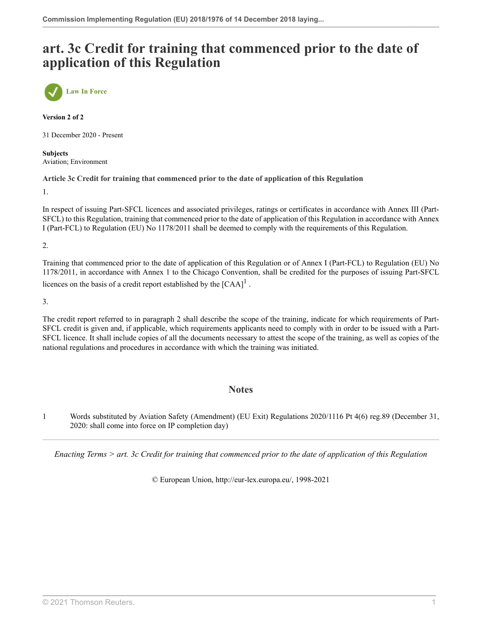## **art. 3c Credit for training that commenced prior to the date of application of this Regulation**



**Version 2 of 2**

31 December 2020 - Present

**Subjects** Aviation; Environment

**Article 3c Credit for training that commenced prior to the date of application of this Regulation**

1.

In respect of issuing Part-SFCL licences and associated privileges, ratings or certificates in accordance with Annex III (Part-SFCL) to this Regulation, training that commenced prior to the date of application of this Regulation in accordance with Annex I (Part-FCL) to Regulation (EU) No 1178/2011 shall be deemed to comply with the requirements of this Regulation.

2.

Training that commenced prior to the date of application of this Regulation or of Annex I (Part-FCL) to Regulation (EU) No 1178/2011, in accordance with Annex 1 to the Chicago Convention, shall be credited for the purposes of issuing Part-SFCL licences on the basis of a credit report established by the  $[{\rm CAA}]^1$  $[{\rm CAA}]^1$ .

3.

The credit report referred to in paragraph 2 shall describe the scope of the training, indicate for which requirements of Part-SFCL credit is given and, if applicable, which requirements applicants need to comply with in order to be issued with a Part-SFCL licence. It shall include copies of all the documents necessary to attest the scope of the training, as well as copies of the national regulations and procedures in accordance with which the training was initiated.

### <span id="page-12-1"></span>**Notes**

<span id="page-12-0"></span>[1](#page-12-1) Words substituted by Aviation Safety (Amendment) (EU Exit) Regulations 2020/1116 [Pt 4\(6\) reg.89](http://uk.westlaw.com/Document/I12A9ED800E9E11EBA7DFEE51C635DBBB/View/FullText.html?originationContext=document&transitionType=DocumentItem&vr=3.0&rs=PLUK1.0&contextData=(sc.Search)) (December 31, 2020: shall come into force on IP completion day)

*Enacting Terms > art. 3c Credit for training that commenced prior to the date of application of this Regulation*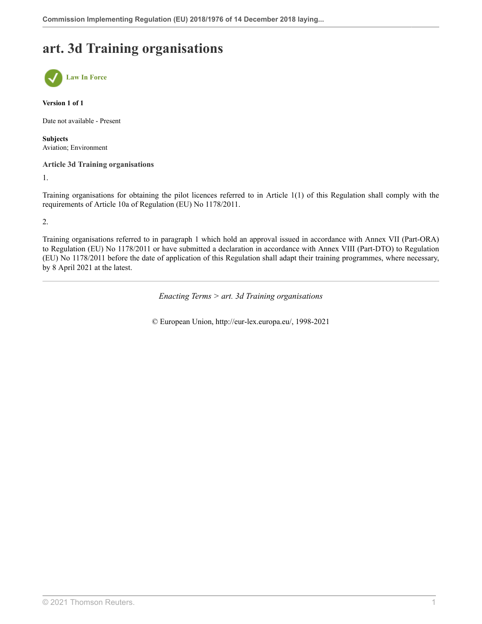## **art. 3d Training organisations**



#### **Version 1 of 1**

Date not available - Present

**Subjects** Aviation; Environment

#### **Article 3d Training organisations**

1.

Training organisations for obtaining the pilot licences referred to in Article 1(1) of this Regulation shall comply with the requirements of Article 10a of Regulation (EU) No 1178/2011.

2.

Training organisations referred to in paragraph 1 which hold an approval issued in accordance with Annex VII (Part-ORA) to Regulation (EU) No 1178/2011 or have submitted a declaration in accordance with Annex VIII (Part-DTO) to Regulation (EU) No 1178/2011 before the date of application of this Regulation shall adapt their training programmes, where necessary, by 8 April 2021 at the latest.

*Enacting Terms > art. 3d Training organisations*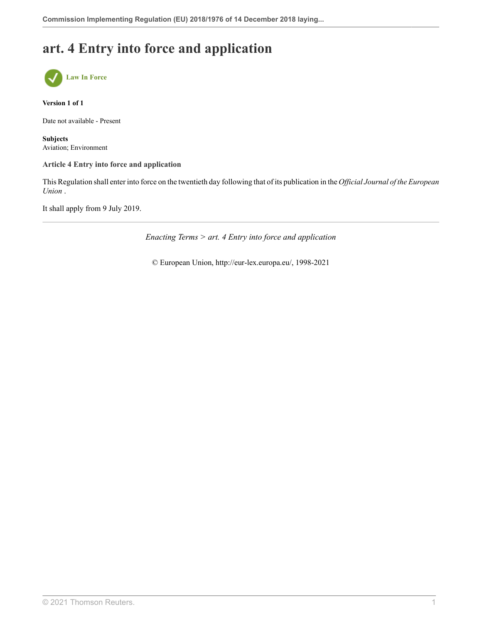## **art. 4 Entry into force and application**



**Version 1 of 1**

Date not available - Present

**Subjects** Aviation; Environment

#### **Article 4 Entry into force and application**

This Regulation shall enter into force on the twentieth day following that of its publication in the *Official Journal of the European Union* .

It shall apply from 9 July 2019.

*Enacting Terms > art. 4 Entry into force and application*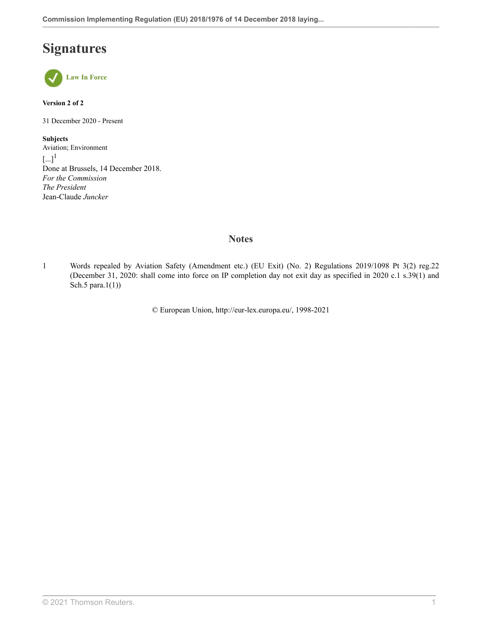## **Signatures**



**Version 2 of 2**

31 December 2020 - Present

<span id="page-15-1"></span>**Subjects** Aviation; Environment  $\left[\ldots\right]^1$  $\left[\ldots\right]^1$ Done at Brussels, 14 December 2018. *For the Commission The President* Jean-Claude *Juncker*

## **Notes**

<span id="page-15-0"></span>[1](#page-15-1) Words repealed by Aviation Safety (Amendment etc.) (EU Exit) (No. 2) Regulations 2019/1098 [Pt 3\(2\) reg.22](http://uk.westlaw.com/Document/I2480D340A46711E9AA46BDE62A47EF6F/View/FullText.html?originationContext=document&transitionType=DocumentItem&vr=3.0&rs=PLUK1.0&contextData=(sc.Search)) (December 31, 2020: shall come into force on IP completion day not exit day as specified in 2020 c.1 s.39(1) and Sch.5 para.1(1))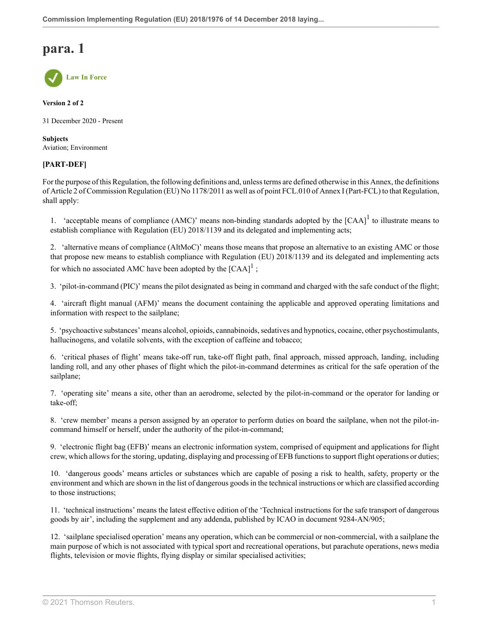## **para. 1**



#### **Version 2 of 2**

31 December 2020 - Present

**Subjects** Aviation; Environment

### **[PART-DEF]**

For the purpose of this Regulation, the following definitions and, unless terms are defined otherwise in this Annex, the definitions of Article 2 of Commission Regulation (EU) No 1178/2011 as well as of point FCL.010 of Annex I (Part-FCL) to that Regulation, shall apply:

<span id="page-16-0"></span>[1](#page-17-0). 'acceptable means of compliance (AMC)' means non-binding standards adopted by the  $[CAA]$ <sup>1</sup> to illustrate means to establish compliance with Regulation (EU) 2018/1139 and its delegated and implementing acts;

2. 'alternative means of compliance (AltMoC)' means those means that propose an alternative to an existing AMC or those that propose new means to establish compliance with Regulation (EU) 2018/1139 and its delegated and implementing acts for which no associated AMC have been adopted by the  $[CAA]$ <sup>[1](#page-17-0)</sup>;

3. 'pilot-in-command (PIC)' means the pilot designated as being in command and charged with the safe conduct of the flight;

4. 'aircraft flight manual (AFM)' means the document containing the applicable and approved operating limitations and information with respect to the sailplane;

5. 'psychoactive substances' means alcohol, opioids, cannabinoids, sedatives and hypnotics, cocaine, other psychostimulants, hallucinogens, and volatile solvents, with the exception of caffeine and tobacco;

6. 'critical phases of flight' means take-off run, take-off flight path, final approach, missed approach, landing, including landing roll, and any other phases of flight which the pilot-in-command determines as critical for the safe operation of the sailplane;

7. 'operating site' means a site, other than an aerodrome, selected by the pilot-in-command or the operator for landing or take-off;

8. 'crew member' means a person assigned by an operator to perform duties on board the sailplane, when not the pilot-incommand himself or herself, under the authority of the pilot-in-command;

9. 'electronic flight bag (EFB)' means an electronic information system, comprised of equipment and applications for flight crew, which allows for the storing, updating, displaying and processing of EFB functions to support flight operations or duties;

10. 'dangerous goods' means articles or substances which are capable of posing a risk to health, safety, property or the environment and which are shown in the list of dangerous goods in the technical instructions or which are classified according to those instructions;

11. 'technical instructions' means the latest effective edition of the 'Technical instructions for the safe transport of dangerous goods by air', including the supplement and any addenda, published by ICAO in document 9284-AN/905;

12. 'sailplane specialised operation' means any operation, which can be commercial or non-commercial, with a sailplane the main purpose of which is not associated with typical sport and recreational operations, but parachute operations, news media flights, television or movie flights, flying display or similar specialised activities;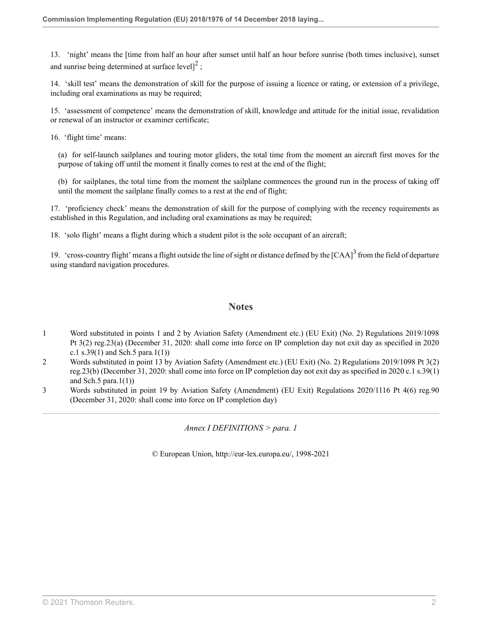<span id="page-17-3"></span>13. 'night' means the [time from half an hour after sunset until half an hour before sunrise (both times inclusive), sunset and sunrise being determined at surface level] $^2$  $^2$ ;

14. 'skill test' means the demonstration of skill for the purpose of issuing a licence or rating, or extension of a privilege, including oral examinations as may be required;

15. 'assessment of competence' means the demonstration of skill, knowledge and attitude for the initial issue, revalidation or renewal of an instructor or examiner certificate;

16. 'flight time' means:

(a) for self-launch sailplanes and touring motor gliders, the total time from the moment an aircraft first moves for the purpose of taking off until the moment it finally comes to rest at the end of the flight;

(b) for sailplanes, the total time from the moment the sailplane commences the ground run in the process of taking off until the moment the sailplane finally comes to a rest at the end of flight;

17. 'proficiency check' means the demonstration of skill for the purpose of complying with the recency requirements as established in this Regulation, and including oral examinations as may be required;

18. 'solo flight' means a flight during which a student pilot is the sole occupant of an aircraft;

19. 'cross-country flight' means a flight outside the line of sight or distance defined by the  $[CAA]^3$  $[CAA]^3$  from the field of departure using standard navigation procedures.

### <span id="page-17-4"></span>**Notes**

- <span id="page-17-0"></span>[1](#page-16-0) Word substituted in points 1 and 2 by Aviation Safety (Amendment etc.) (EU Exit) (No. 2) Regulations 2019/1098 [Pt 3\(2\) reg.23\(a\)](http://uk.westlaw.com/Document/I1399BCE0A46711E9AA46BDE62A47EF6F/View/FullText.html?originationContext=document&transitionType=DocumentItem&vr=3.0&rs=PLUK1.0&contextData=(sc.Search)) (December 31, 2020: shall come into force on IP completion day not exit day as specified in 2020 c.1 s.39(1) and Sch.5 para.1(1))
- <span id="page-17-1"></span>[2](#page-17-3) Words substituted in point 13 by Aviation Safety (Amendment etc.) (EU Exit) (No. 2) Regulations 2019/1098 [Pt 3\(2\)](http://uk.westlaw.com/Document/I1399BCE0A46711E9AA46BDE62A47EF6F/View/FullText.html?originationContext=document&transitionType=DocumentItem&vr=3.0&rs=PLUK1.0&contextData=(sc.Search)) [reg.23\(b\)](http://uk.westlaw.com/Document/I1399BCE0A46711E9AA46BDE62A47EF6F/View/FullText.html?originationContext=document&transitionType=DocumentItem&vr=3.0&rs=PLUK1.0&contextData=(sc.Search)) (December 31, 2020: shall come into force on IP completion day not exit day as specified in 2020 c.1 s.39(1) and Sch.5 para. $1(1)$ )
- <span id="page-17-2"></span>[3](#page-17-4) Words substituted in point 19 by Aviation Safety (Amendment) (EU Exit) Regulations 2020/1116 [Pt 4\(6\) reg.90](http://uk.westlaw.com/Document/I57ABA3600E9E11EBA7DFEE51C635DBBB/View/FullText.html?originationContext=document&transitionType=DocumentItem&vr=3.0&rs=PLUK1.0&contextData=(sc.Search)) (December 31, 2020: shall come into force on IP completion day)

*Annex I DEFINITIONS > para. 1*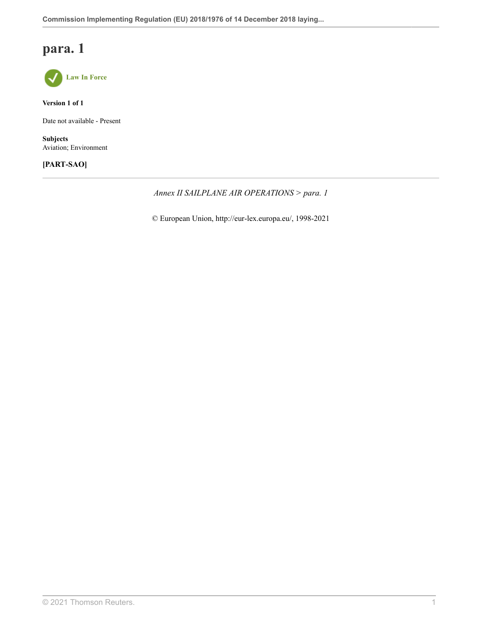## **para. 1**



**Version 1 of 1**

Date not available - Present

**Subjects** Aviation; Environment

### **[PART-SAO]**

*Annex II SAILPLANE AIR OPERATIONS > para. 1*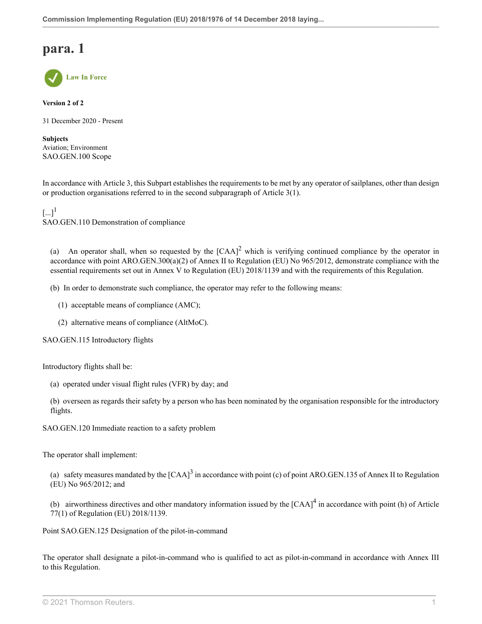## **para. 1**



**Version 2 of 2**

31 December 2020 - Present

**Subjects** Aviation; Environment SAO.GEN.100 Scope

In accordance with Article 3, this Subpart establishes the requirements to be met by any operator of sailplanes, other than design or production organisations referred to in the second subparagraph of Article 3(1).

<span id="page-19-0"></span> $[...]^1$  $[...]^1$ SAO.GEN.110 Demonstration of compliance

<span id="page-19-1"></span>(a) An operator shall, when so requested by the  $[CAA]^2$  $[CAA]^2$  which is verifying continued compliance by the operator in accordance with point ARO.GEN.300(a)(2) of Annex II to Regulation (EU) No 965/2012, demonstrate compliance with the essential requirements set out in Annex V to Regulation (EU) 2018/1139 and with the requirements of this Regulation.

(b) In order to demonstrate such compliance, the operator may refer to the following means:

- (1) acceptable means of compliance (AMC);
- (2) alternative means of compliance (AltMoC).

SAO.GEN.115 Introductory flights

Introductory flights shall be:

- (a) operated under visual flight rules (VFR) by day; and
- (b) overseen as regards their safety by a person who has been nominated by the organisation responsible for the introductory flights.
- SAO.GEN.120 Immediate reaction to a safety problem

The operator shall implement:

<span id="page-19-2"></span>(a) safety measures mandated by the  $[CAA]^3$  $[CAA]^3$  in accordance with point (c) of point ARO.GEN.135 of Annex II to Regulation (EU) No 965/2012; and

<span id="page-19-3"></span>(b) airworthiness directives and other mandatory information issued by the  ${[CAA]}^4$  ${[CAA]}^4$  in accordance with point (h) of Article 77(1) of Regulation (EU) 2018/1139.

Point SAO.GEN.125 Designation of the pilot-in-command

The operator shall designate a pilot-in-command who is qualified to act as pilot-in-command in accordance with Annex III to this Regulation.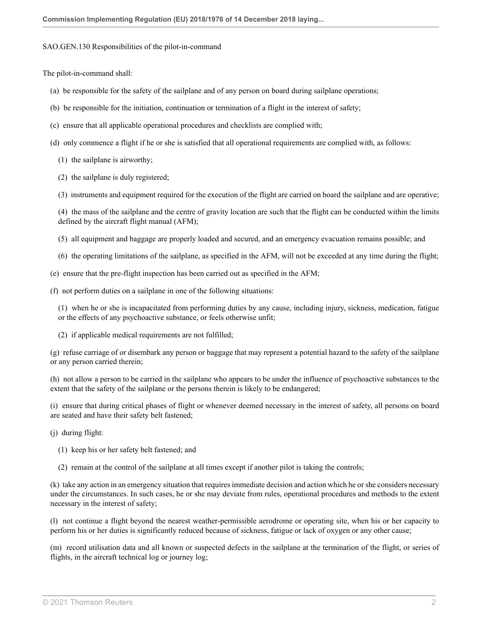#### SAO.GEN.130 Responsibilities of the pilot-in-command

The pilot-in-command shall:

- (a) be responsible for the safety of the sailplane and of any person on board during sailplane operations;
- (b) be responsible for the initiation, continuation or termination of a flight in the interest of safety;
- (c) ensure that all applicable operational procedures and checklists are complied with;
- (d) only commence a flight if he or she is satisfied that all operational requirements are complied with, as follows:
	- (1) the sailplane is airworthy;
	- (2) the sailplane is duly registered;
	- (3) instruments and equipment required for the execution of the flight are carried on board the sailplane and are operative;

(4) the mass of the sailplane and the centre of gravity location are such that the flight can be conducted within the limits defined by the aircraft flight manual (AFM);

- (5) all equipment and baggage are properly loaded and secured, and an emergency evacuation remains possible; and
- (6) the operating limitations of the sailplane, as specified in the AFM, will not be exceeded at any time during the flight;
- (e) ensure that the pre-flight inspection has been carried out as specified in the AFM;
- (f) not perform duties on a sailplane in one of the following situations:

(1) when he or she is incapacitated from performing duties by any cause, including injury, sickness, medication, fatigue or the effects of any psychoactive substance, or feels otherwise unfit;

(2) if applicable medical requirements are not fulfilled;

(g) refuse carriage of or disembark any person or baggage that may represent a potential hazard to the safety of the sailplane or any person carried therein;

(h) not allow a person to be carried in the sailplane who appears to be under the influence of psychoactive substances to the extent that the safety of the sailplane or the persons therein is likely to be endangered;

(i) ensure that during critical phases of flight or whenever deemed necessary in the interest of safety, all persons on board are seated and have their safety belt fastened;

- (j) during flight:
	- (1) keep his or her safety belt fastened; and
	- (2) remain at the control of the sailplane at all times except if another pilot is taking the controls;

(k) take any action in an emergency situation that requires immediate decision and action which he or she considers necessary under the circumstances. In such cases, he or she may deviate from rules, operational procedures and methods to the extent necessary in the interest of safety;

(l) not continue a flight beyond the nearest weather-permissible aerodrome or operating site, when his or her capacity to perform his or her duties is significantly reduced because of sickness, fatigue or lack of oxygen or any other cause;

(m) record utilisation data and all known or suspected defects in the sailplane at the termination of the flight, or series of flights, in the aircraft technical log or journey log;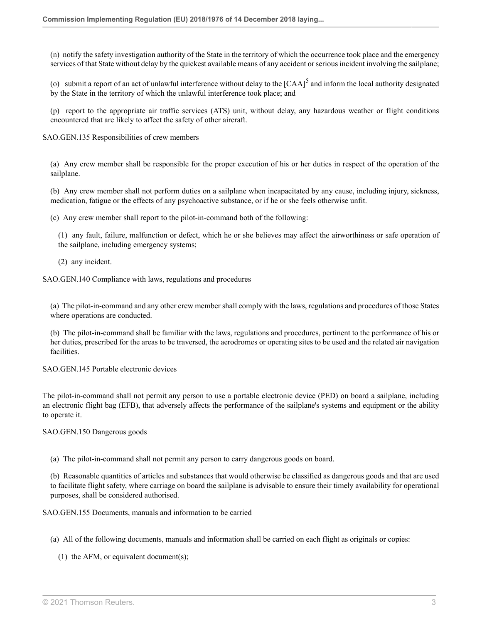(n) notify the safety investigation authority of the State in the territory of which the occurrence took place and the emergency services of that State without delay by the quickest available means of any accident or serious incident involving the sailplane;

<span id="page-21-0"></span>(o) submit a report of an act of unlawful interference without delay to the  $[CAA]^5$  $[CAA]^5$  and inform the local authority designated by the State in the territory of which the unlawful interference took place; and

(p) report to the appropriate air traffic services (ATS) unit, without delay, any hazardous weather or flight conditions encountered that are likely to affect the safety of other aircraft.

SAO.GEN.135 Responsibilities of crew members

(a) Any crew member shall be responsible for the proper execution of his or her duties in respect of the operation of the sailplane.

(b) Any crew member shall not perform duties on a sailplane when incapacitated by any cause, including injury, sickness, medication, fatigue or the effects of any psychoactive substance, or if he or she feels otherwise unfit.

(c) Any crew member shall report to the pilot-in-command both of the following:

(1) any fault, failure, malfunction or defect, which he or she believes may affect the airworthiness or safe operation of the sailplane, including emergency systems;

(2) any incident.

SAO.GEN.140 Compliance with laws, regulations and procedures

(a) The pilot-in-command and any other crew member shall comply with the laws, regulations and procedures of those States where operations are conducted.

(b) The pilot-in-command shall be familiar with the laws, regulations and procedures, pertinent to the performance of his or her duties, prescribed for the areas to be traversed, the aerodromes or operating sites to be used and the related air navigation facilities.

SAO.GEN.145 Portable electronic devices

The pilot-in-command shall not permit any person to use a portable electronic device (PED) on board a sailplane, including an electronic flight bag (EFB), that adversely affects the performance of the sailplane's systems and equipment or the ability to operate it.

SAO.GEN.150 Dangerous goods

(a) The pilot-in-command shall not permit any person to carry dangerous goods on board.

(b) Reasonable quantities of articles and substances that would otherwise be classified as dangerous goods and that are used to facilitate flight safety, where carriage on board the sailplane is advisable to ensure their timely availability for operational purposes, shall be considered authorised.

SAO.GEN.155 Documents, manuals and information to be carried

(a) All of the following documents, manuals and information shall be carried on each flight as originals or copies:

(1) the AFM, or equivalent document(s);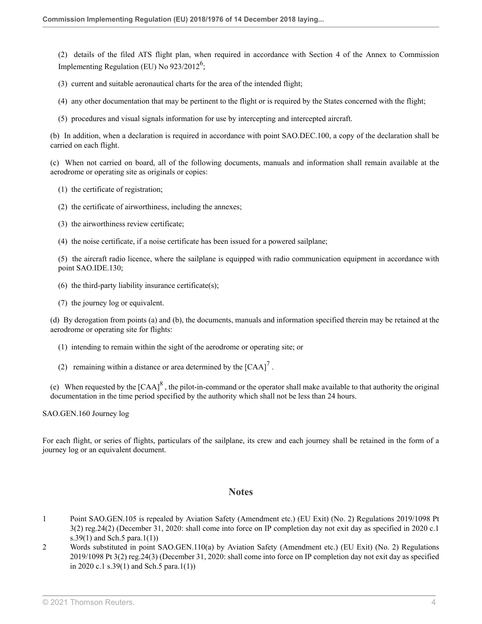<span id="page-22-2"></span>(2) details of the filed ATS flight plan, when required in accordance with Section 4 of the Annex to Commission Implementing Regulation (EU) No  $923/2012^6$  $923/2012^6$ ;

(3) current and suitable aeronautical charts for the area of the intended flight;

- (4) any other documentation that may be pertinent to the flight or is required by the States concerned with the flight;
- (5) procedures and visual signals information for use by intercepting and intercepted aircraft.

(b) In addition, when a declaration is required in accordance with point SAO.DEC.100, a copy of the declaration shall be carried on each flight.

(c) When not carried on board, all of the following documents, manuals and information shall remain available at the aerodrome or operating site as originals or copies:

- (1) the certificate of registration;
- (2) the certificate of airworthiness, including the annexes;
- (3) the airworthiness review certificate;
- (4) the noise certificate, if a noise certificate has been issued for a powered sailplane;

(5) the aircraft radio licence, where the sailplane is equipped with radio communication equipment in accordance with point SAO.IDE.130;

- (6) the third-party liability insurance certificate $(s)$ ;
- (7) the journey log or equivalent.

(d) By derogation from points (a) and (b), the documents, manuals and information specified therein may be retained at the aerodrome or operating site for flights:

- (1) intending to remain within the sight of the aerodrome or operating site; or
- <span id="page-22-4"></span>(2) remaining within a distance or area determined by the  $[CAA]$ <sup>[7](#page-23-4)</sup>.

(e) When requested by the  $[CAA]^8$  $[CAA]^8$ , the pilot-in-command or the operator shall make available to that authority the original documentation in the time period specified by the authority which shall not be less than 24 hours.

SAO.GEN.160 Journey log

For each flight, or series of flights, particulars of the sailplane, its crew and each journey shall be retained in the form of a journey log or an equivalent document.

### <span id="page-22-3"></span>**Notes**

- <span id="page-22-0"></span>[1](#page-19-0) Point SAO.GEN.105 is repealed by Aviation Safety (Amendment etc.) (EU Exit) (No. 2) Regulations 2019/1098 [Pt](http://uk.westlaw.com/Document/I293B9C30A46711E9AA46BDE62A47EF6F/View/FullText.html?originationContext=document&transitionType=DocumentItem&vr=3.0&rs=PLUK1.0&contextData=(sc.Search)) [3\(2\) reg.24\(2\)](http://uk.westlaw.com/Document/I293B9C30A46711E9AA46BDE62A47EF6F/View/FullText.html?originationContext=document&transitionType=DocumentItem&vr=3.0&rs=PLUK1.0&contextData=(sc.Search)) (December 31, 2020: shall come into force on IP completion day not exit day as specified in 2020 c.1 s.39(1) and Sch.5 para.1(1))
- <span id="page-22-1"></span>[2](#page-19-1) Words substituted in point SAO.GEN.110(a) by Aviation Safety (Amendment etc.) (EU Exit) (No. 2) Regulations 2019/1098 [Pt 3\(2\) reg.24\(3\)](http://uk.westlaw.com/Document/I293B9C30A46711E9AA46BDE62A47EF6F/View/FullText.html?originationContext=document&transitionType=DocumentItem&vr=3.0&rs=PLUK1.0&contextData=(sc.Search)) (December 31, 2020: shall come into force on IP completion day not exit day as specified in 2020 c.1 s.39(1) and Sch.5 para.1(1))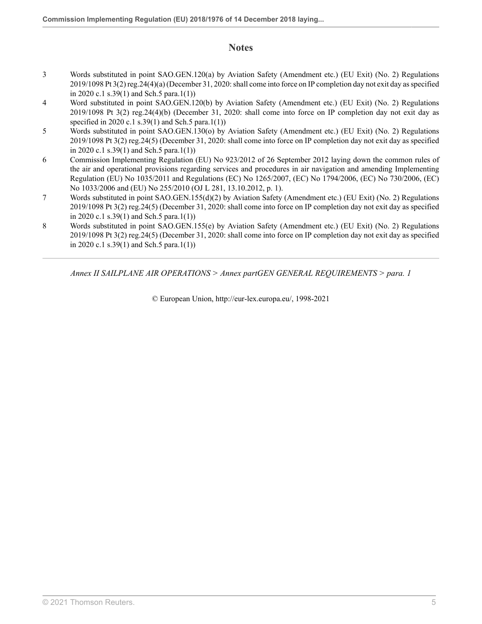## **Notes**

- <span id="page-23-0"></span>[3](#page-19-2) Words substituted in point SAO.GEN.120(a) by Aviation Safety (Amendment etc.) (EU Exit) (No. 2) Regulations 2019/1098 [Pt 3\(2\) reg.24\(4\)\(a\)](http://uk.westlaw.com/Document/I293B9C30A46711E9AA46BDE62A47EF6F/View/FullText.html?originationContext=document&transitionType=DocumentItem&vr=3.0&rs=PLUK1.0&contextData=(sc.Search)) (December 31, 2020: shall come into force on IP completion day not exit day as specified in 2020 c.1 s.39(1) and Sch.5 para.1(1))
- <span id="page-23-1"></span>[4](#page-19-3) Word substituted in point SAO.GEN.120(b) by Aviation Safety (Amendment etc.) (EU Exit) (No. 2) Regulations 2019/1098 [Pt 3\(2\) reg.24\(4\)\(b\)](http://uk.westlaw.com/Document/I293B9C30A46711E9AA46BDE62A47EF6F/View/FullText.html?originationContext=document&transitionType=DocumentItem&vr=3.0&rs=PLUK1.0&contextData=(sc.Search)) (December 31, 2020: shall come into force on IP completion day not exit day as specified in 2020 c.1 s.39(1) and Sch.5 para.1(1))
- <span id="page-23-2"></span>[5](#page-21-0) Words substituted in point SAO.GEN.130(o) by Aviation Safety (Amendment etc.) (EU Exit) (No. 2) Regulations 2019/1098 [Pt 3\(2\) reg.24\(5\)](http://uk.westlaw.com/Document/I293B9C30A46711E9AA46BDE62A47EF6F/View/FullText.html?originationContext=document&transitionType=DocumentItem&vr=3.0&rs=PLUK1.0&contextData=(sc.Search)) (December 31, 2020: shall come into force on IP completion day not exit day as specified in 2020 c.1 s.39(1) and Sch.5 para.1(1))
- <span id="page-23-3"></span>[6](#page-22-2) Commission Implementing Regulation (EU) No 923/2012 of 26 September 2012 laying down the common rules of the air and operational provisions regarding services and procedures in air navigation and amending Implementing Regulation (EU) No 1035/2011 and Regulations (EC) No 1265/2007, (EC) No 1794/2006, (EC) No 730/2006, (EC) No 1033/2006 and (EU) No 255/2010 (OJ L 281, 13.10.2012, p. 1).
- <span id="page-23-4"></span>[7](#page-22-3) Words substituted in point SAO.GEN.155(d)(2) by Aviation Safety (Amendment etc.) (EU Exit) (No. 2) Regulations 2019/1098 [Pt 3\(2\) reg.24\(5\)](http://uk.westlaw.com/Document/I293B9C30A46711E9AA46BDE62A47EF6F/View/FullText.html?originationContext=document&transitionType=DocumentItem&vr=3.0&rs=PLUK1.0&contextData=(sc.Search)) (December 31, 2020: shall come into force on IP completion day not exit day as specified in 2020 c.1 s.39(1) and Sch.5 para.1(1))
- <span id="page-23-5"></span>[8](#page-22-4) Words substituted in point SAO.GEN.155(e) by Aviation Safety (Amendment etc.) (EU Exit) (No. 2) Regulations 2019/1098 [Pt 3\(2\) reg.24\(5\)](http://uk.westlaw.com/Document/I293B9C30A46711E9AA46BDE62A47EF6F/View/FullText.html?originationContext=document&transitionType=DocumentItem&vr=3.0&rs=PLUK1.0&contextData=(sc.Search)) (December 31, 2020: shall come into force on IP completion day not exit day as specified in 2020 c.1 s.39(1) and Sch.5 para.1(1))

*Annex II SAILPLANE AIR OPERATIONS > Annex partGEN GENERAL REQUIREMENTS > para. 1*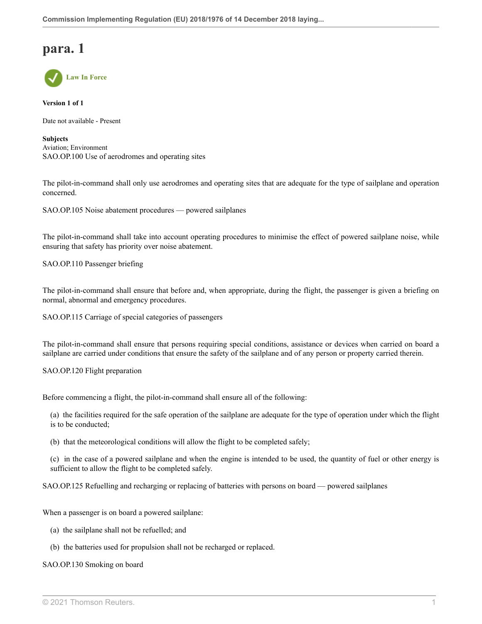## **para. 1**



**Version 1 of 1**

Date not available - Present

**Subjects** Aviation; Environment SAO.OP.100 Use of aerodromes and operating sites

The pilot-in-command shall only use aerodromes and operating sites that are adequate for the type of sailplane and operation concerned.

SAO.OP.105 Noise abatement procedures — powered sailplanes

The pilot-in-command shall take into account operating procedures to minimise the effect of powered sailplane noise, while ensuring that safety has priority over noise abatement.

SAO.OP.110 Passenger briefing

The pilot-in-command shall ensure that before and, when appropriate, during the flight, the passenger is given a briefing on normal, abnormal and emergency procedures.

SAO.OP.115 Carriage of special categories of passengers

The pilot-in-command shall ensure that persons requiring special conditions, assistance or devices when carried on board a sailplane are carried under conditions that ensure the safety of the sailplane and of any person or property carried therein.

SAO.OP.120 Flight preparation

Before commencing a flight, the pilot-in-command shall ensure all of the following:

(a) the facilities required for the safe operation of the sailplane are adequate for the type of operation under which the flight is to be conducted;

(b) that the meteorological conditions will allow the flight to be completed safely;

(c) in the case of a powered sailplane and when the engine is intended to be used, the quantity of fuel or other energy is sufficient to allow the flight to be completed safely.

SAO.OP.125 Refuelling and recharging or replacing of batteries with persons on board — powered sailplanes

When a passenger is on board a powered sailplane:

- (a) the sailplane shall not be refuelled; and
- (b) the batteries used for propulsion shall not be recharged or replaced.

#### SAO.OP.130 Smoking on board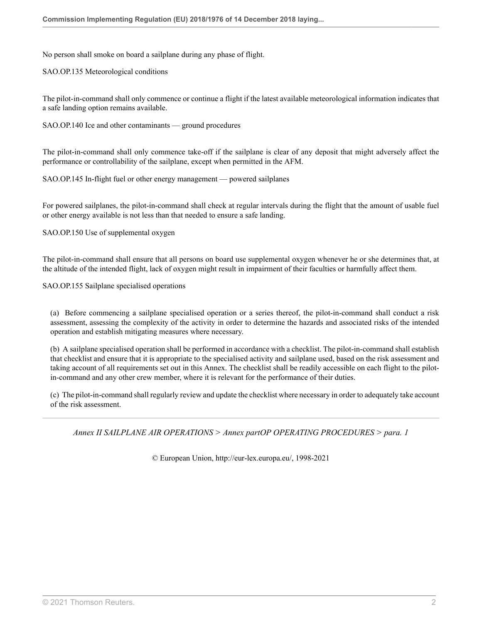No person shall smoke on board a sailplane during any phase of flight.

SAO.OP.135 Meteorological conditions

The pilot-in-command shall only commence or continue a flight if the latest available meteorological information indicates that a safe landing option remains available.

SAO.OP.140 Ice and other contaminants — ground procedures

The pilot-in-command shall only commence take-off if the sailplane is clear of any deposit that might adversely affect the performance or controllability of the sailplane, except when permitted in the AFM.

SAO.OP.145 In-flight fuel or other energy management — powered sailplanes

For powered sailplanes, the pilot-in-command shall check at regular intervals during the flight that the amount of usable fuel or other energy available is not less than that needed to ensure a safe landing.

SAO.OP.150 Use of supplemental oxygen

The pilot-in-command shall ensure that all persons on board use supplemental oxygen whenever he or she determines that, at the altitude of the intended flight, lack of oxygen might result in impairment of their faculties or harmfully affect them.

SAO.OP.155 Sailplane specialised operations

(a) Before commencing a sailplane specialised operation or a series thereof, the pilot-in-command shall conduct a risk assessment, assessing the complexity of the activity in order to determine the hazards and associated risks of the intended operation and establish mitigating measures where necessary.

(b) A sailplane specialised operation shall be performed in accordance with a checklist. The pilot-in-command shall establish that checklist and ensure that it is appropriate to the specialised activity and sailplane used, based on the risk assessment and taking account of all requirements set out in this Annex. The checklist shall be readily accessible on each flight to the pilotin-command and any other crew member, where it is relevant for the performance of their duties.

(c) The pilot-in-command shall regularly review and update the checklist where necessary in order to adequately take account of the risk assessment.

*Annex II SAILPLANE AIR OPERATIONS > Annex partOP OPERATING PROCEDURES > para. 1*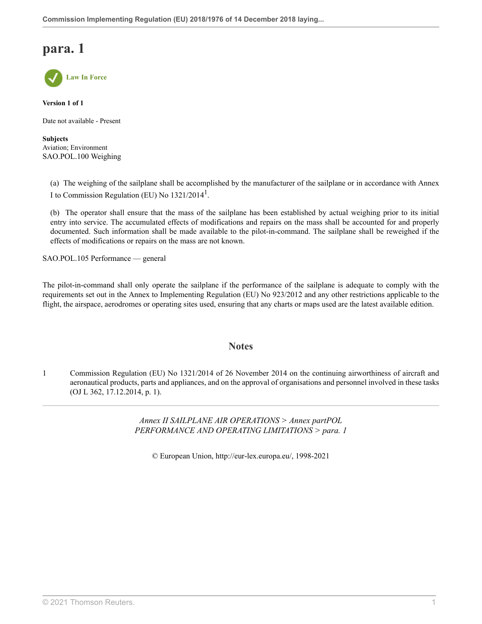## **para. 1**



**Version 1 of 1**

Date not available - Present

**Subjects** Aviation; Environment SAO.POL.100 Weighing

<span id="page-26-1"></span>(a) The weighing of the sailplane shall be accomplished by the manufacturer of the sailplane or in accordance with Annex I to Commission Regulation (EU) No  $1321/2014<sup>1</sup>$  $1321/2014<sup>1</sup>$ .

(b) The operator shall ensure that the mass of the sailplane has been established by actual weighing prior to its initial entry into service. The accumulated effects of modifications and repairs on the mass shall be accounted for and properly documented. Such information shall be made available to the pilot-in-command. The sailplane shall be reweighed if the effects of modifications or repairs on the mass are not known.

SAO.POL.105 Performance — general

The pilot-in-command shall only operate the sailplane if the performance of the sailplane is adequate to comply with the requirements set out in the Annex to Implementing Regulation (EU) No 923/2012 and any other restrictions applicable to the flight, the airspace, aerodromes or operating sites used, ensuring that any charts or maps used are the latest available edition.

### **Notes**

<span id="page-26-0"></span>[1](#page-26-1) Commission Regulation (EU) No 1321/2014 of 26 November 2014 on the continuing airworthiness of aircraft and aeronautical products, parts and appliances, and on the approval of organisations and personnel involved in these tasks (OJ L 362, 17.12.2014, p. 1).

> *Annex II SAILPLANE AIR OPERATIONS > Annex partPOL PERFORMANCE AND OPERATING LIMITATIONS > para. 1*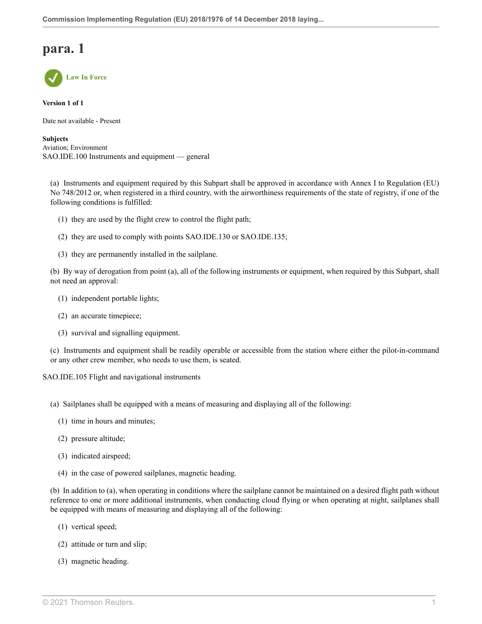## **para. 1**



**Version 1 of 1**

Date not available - Present

**Subjects** Aviation; Environment SAO.IDE.100 Instruments and equipment — general

(a) Instruments and equipment required by this Subpart shall be approved in accordance with Annex I to Regulation (EU) No 748/2012 or, when registered in a third country, with the airworthiness requirements of the state of registry, if one of the following conditions is fulfilled:

- (1) they are used by the flight crew to control the flight path;
- (2) they are used to comply with points SAO.IDE.130 or SAO.IDE.135;
- (3) they are permanently installed in the sailplane.

(b) By way of derogation from point (a), all of the following instruments or equipment, when required by this Subpart, shall not need an approval:

- (1) independent portable lights;
- (2) an accurate timepiece;
- (3) survival and signalling equipment.

(c) Instruments and equipment shall be readily operable or accessible from the station where either the pilot-in-command or any other crew member, who needs to use them, is seated.

SAO.IDE.105 Flight and navigational instruments

- (a) Sailplanes shall be equipped with a means of measuring and displaying all of the following:
	- (1) time in hours and minutes;
	- (2) pressure altitude;
	- (3) indicated airspeed;
	- (4) in the case of powered sailplanes, magnetic heading.

(b) In addition to (a), when operating in conditions where the sailplane cannot be maintained on a desired flight path without reference to one or more additional instruments, when conducting cloud flying or when operating at night, sailplanes shall be equipped with means of measuring and displaying all of the following:

- (1) vertical speed;
- (2) attitude or turn and slip;
- (3) magnetic heading.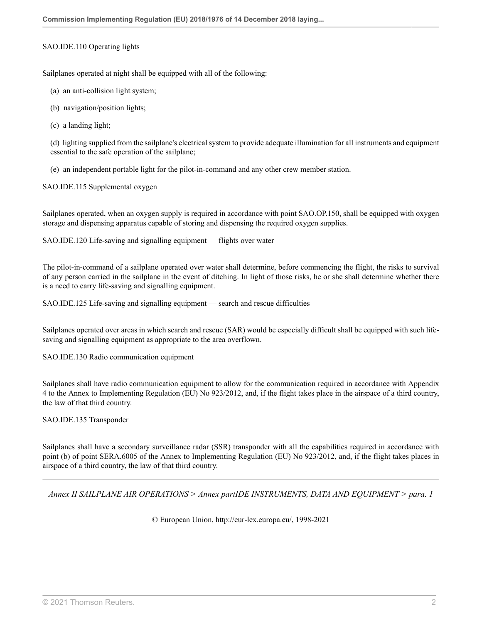#### SAO.IDE.110 Operating lights

Sailplanes operated at night shall be equipped with all of the following:

- (a) an anti-collision light system;
- (b) navigation/position lights;
- (c) a landing light;

(d) lighting supplied from the sailplane's electrical system to provide adequate illumination for all instruments and equipment essential to the safe operation of the sailplane;

(e) an independent portable light for the pilot-in-command and any other crew member station.

SAO.IDE.115 Supplemental oxygen

Sailplanes operated, when an oxygen supply is required in accordance with point SAO.OP.150, shall be equipped with oxygen storage and dispensing apparatus capable of storing and dispensing the required oxygen supplies.

SAO.IDE.120 Life-saving and signalling equipment — flights over water

The pilot-in-command of a sailplane operated over water shall determine, before commencing the flight, the risks to survival of any person carried in the sailplane in the event of ditching. In light of those risks, he or she shall determine whether there is a need to carry life-saving and signalling equipment.

SAO.IDE.125 Life-saving and signalling equipment — search and rescue difficulties

Sailplanes operated over areas in which search and rescue (SAR) would be especially difficult shall be equipped with such lifesaving and signalling equipment as appropriate to the area overflown.

SAO.IDE.130 Radio communication equipment

Sailplanes shall have radio communication equipment to allow for the communication required in accordance with Appendix 4 to the Annex to Implementing Regulation (EU) No 923/2012, and, if the flight takes place in the airspace of a third country, the law of that third country.

SAO.IDE.135 Transponder

Sailplanes shall have a secondary surveillance radar (SSR) transponder with all the capabilities required in accordance with point (b) of point SERA.6005 of the Annex to Implementing Regulation (EU) No 923/2012, and, if the flight takes places in airspace of a third country, the law of that third country.

*Annex II SAILPLANE AIR OPERATIONS > Annex partIDE INSTRUMENTS, DATA AND EQUIPMENT > para. 1*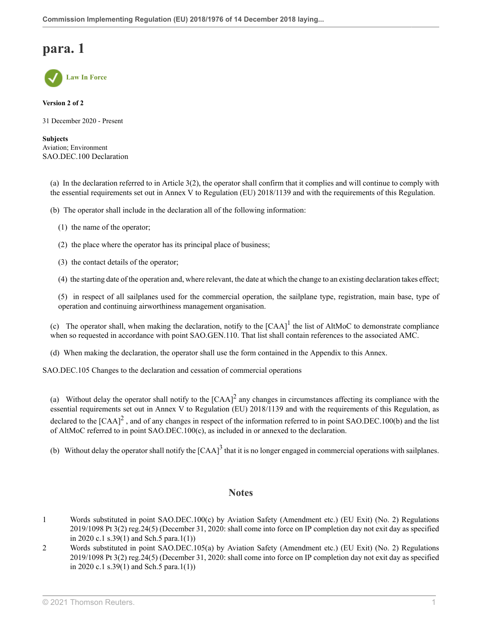## **para. 1**



**Version 2 of 2**

31 December 2020 - Present

**Subjects** Aviation; Environment SAO.DEC.100 Declaration

(a) In the declaration referred to in Article 3(2), the operator shall confirm that it complies and will continue to comply with the essential requirements set out in Annex V to Regulation (EU) 2018/1139 and with the requirements of this Regulation.

(b) The operator shall include in the declaration all of the following information:

- (1) the name of the operator;
- (2) the place where the operator has its principal place of business;
- (3) the contact details of the operator;

(4) the starting date of the operation and, where relevant, the date at which the change to an existing declaration takes effect;

(5) in respect of all sailplanes used for the commercial operation, the sailplane type, registration, main base, type of operation and continuing airworthiness management organisation.

(c) The operator shall, when making the declaration, notify to the  $[CAA]$ <sup>[1](#page-29-0)</sup> the list of AltMoC to demonstrate compliance when so requested in accordance with point SAO.GEN.110. That list shall contain references to the associated AMC.

(d) When making the declaration, the operator shall use the form contained in the Appendix to this Annex.

SAO.DEC.105 Changes to the declaration and cessation of commercial operations

(a) Without delay the operator shall notify to the  $[CAA]^2$  $[CAA]^2$  any changes in circumstances affecting its compliance with the essential requirements set out in Annex V to Regulation (EU) 2018/1139 and with the requirements of this Regulation, as declared to the  $[{\rm CAA}]^2$  $[{\rm CAA}]^2$ , and of any changes in respect of the information referred to in point SAO.DEC.100(b) and the list of AltMoC referred to in point SAO.DEC.100(c), as included in or annexed to the declaration.

(b) Without delay the operator shall notify the  $[CAA]^3$  $[CAA]^3$  that it is no longer engaged in commercial operations with sailplanes.

### <span id="page-29-4"></span><span id="page-29-3"></span><span id="page-29-2"></span>**Notes**

- <span id="page-29-0"></span>[1](#page-29-2) Words substituted in point SAO.DEC.100(c) by Aviation Safety (Amendment etc.) (EU Exit) (No. 2) Regulations 2019/1098 [Pt 3\(2\) reg.24\(5\)](http://uk.westlaw.com/Document/I293B9C30A46711E9AA46BDE62A47EF6F/View/FullText.html?originationContext=document&transitionType=DocumentItem&vr=3.0&rs=PLUK1.0&contextData=(sc.Search)) (December 31, 2020: shall come into force on IP completion day not exit day as specified in 2020 c.1 s.39(1) and Sch.5 para.1(1))
- <span id="page-29-1"></span>[2](#page-29-3) Words substituted in point SAO.DEC.105(a) by Aviation Safety (Amendment etc.) (EU Exit) (No. 2) Regulations 2019/1098 [Pt 3\(2\) reg.24\(5\)](http://uk.westlaw.com/Document/I293B9C30A46711E9AA46BDE62A47EF6F/View/FullText.html?originationContext=document&transitionType=DocumentItem&vr=3.0&rs=PLUK1.0&contextData=(sc.Search)) (December 31, 2020: shall come into force on IP completion day not exit day as specified in 2020 c.1 s.39(1) and Sch.5 para.1(1))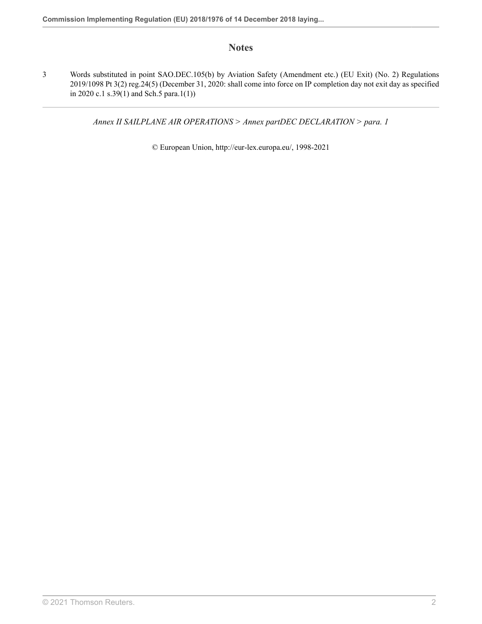## **Notes**

<span id="page-30-0"></span>[3](#page-29-4) Words substituted in point SAO.DEC.105(b) by Aviation Safety (Amendment etc.) (EU Exit) (No. 2) Regulations 2019/1098 [Pt 3\(2\) reg.24\(5\)](http://uk.westlaw.com/Document/I293B9C30A46711E9AA46BDE62A47EF6F/View/FullText.html?originationContext=document&transitionType=DocumentItem&vr=3.0&rs=PLUK1.0&contextData=(sc.Search)) (December 31, 2020: shall come into force on IP completion day not exit day as specified in 2020 c.1 s.39(1) and Sch.5 para.1(1))

*Annex II SAILPLANE AIR OPERATIONS > Annex partDEC DECLARATION > para. 1*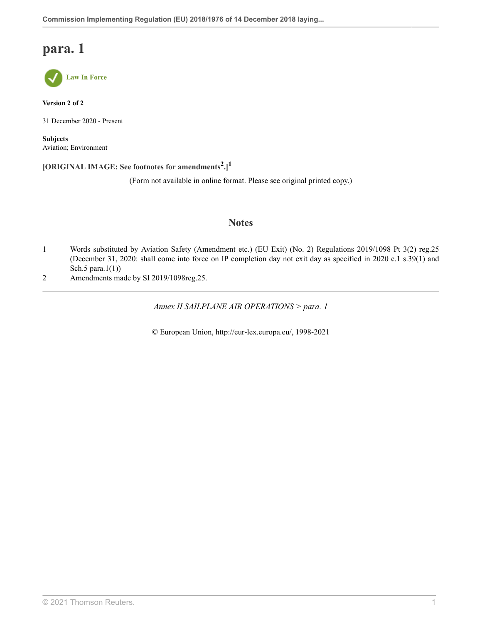## **para. 1**



**Version 2 of 2**

31 December 2020 - Present

**Subjects** Aviation; Environment

**[ORIGINAL IMAGE: See footnotes for amendments[2](#page-31-0) .] [1](#page-31-1)**

(Form not available in online format. Please see original printed copy.)

### <span id="page-31-3"></span><span id="page-31-2"></span>**Notes**

- <span id="page-31-1"></span>[1](#page-31-2) Words substituted by Aviation Safety (Amendment etc.) (EU Exit) (No. 2) Regulations 2019/1098 [Pt 3\(2\) reg.25](http://uk.westlaw.com/Document/I1F4FA1D0A46711E9AA46BDE62A47EF6F/View/FullText.html?originationContext=document&transitionType=DocumentItem&vr=3.0&rs=PLUK1.0&contextData=(sc.Search)) (December 31, 2020: shall come into force on IP completion day not exit day as specified in 2020 c.1 s.39(1) and Sch.5 para.1(1))
- <span id="page-31-0"></span>[2](#page-31-3) Amendments made by [SI 2019/1098](http://uk.westlaw.com/Document/I2E85A240A46611E9A2FCD0E3CFDF010F/View/FullText.html?originationContext=document&transitionType=DocumentItem&vr=3.0&rs=PLUK1.0&contextData=(sc.Search))[reg.25.](http://uk.westlaw.com/Document/I1F4FA1D0A46711E9AA46BDE62A47EF6F/View/FullText.html?originationContext=document&transitionType=DocumentItem&vr=3.0&rs=PLUK1.0&contextData=(sc.Search))

*Annex II SAILPLANE AIR OPERATIONS > para. 1*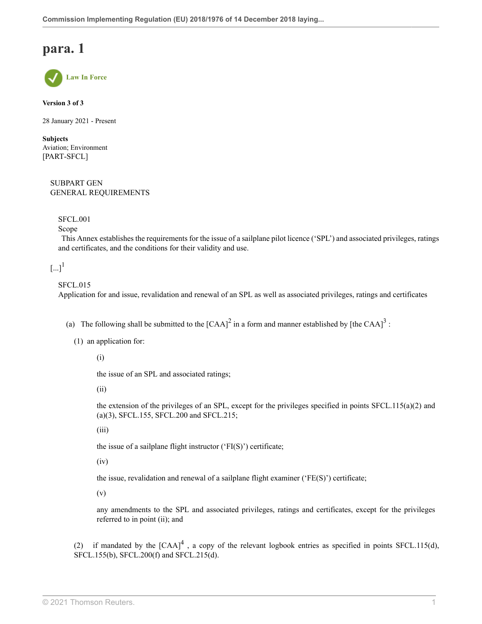## **para. 1**



**Version 3 of 3**

28 January 2021 - Present

**Subjects** Aviation; Environment [PART-SFCL]

> SUBPART GEN GENERAL REQUIREMENTS

SFCL.001

Scope

 This Annex establishes the requirements for the issue of a sailplane pilot licence ('SPL') and associated privileges, ratings and certificates, and the conditions for their validity and use.

<span id="page-32-0"></span> $\left[\ldots\right]^1$  $\left[\ldots\right]^1$ 

#### SFCL.015

Application for and issue, revalidation and renewal of an SPL as well as associated privileges, ratings and certificates

- (a) The following shall be submitted to the  $[CAA]^2$  $[CAA]^2$  in a form and manner established by [the CAA]<sup>[3](#page-56-2)</sup>:
	- (1) an application for:

<span id="page-32-2"></span><span id="page-32-1"></span>(i)

the issue of an SPL and associated ratings;

(ii)

the extension of the privileges of an SPL, except for the privileges specified in points  $SFCL.115(a)(2)$  and (a)(3), SFCL.155, SFCL.200 and SFCL.215;

(iii)

the issue of a sailplane flight instructor ('FI(S)') certificate;

(iv)

the issue, revalidation and renewal of a sailplane flight examiner ('FE(S)') certificate;

(v)

<span id="page-32-3"></span>any amendments to the SPL and associated privileges, ratings and certificates, except for the privileges referred to in point (ii); and

(2) if mandated by the  $[CAA]^{4}$  $[CAA]^{4}$  $[CAA]^{4}$ , a copy of the relevant logbook entries as specified in points SFCL.115(d), SFCL.155(b), SFCL.200(f) and SFCL.215(d).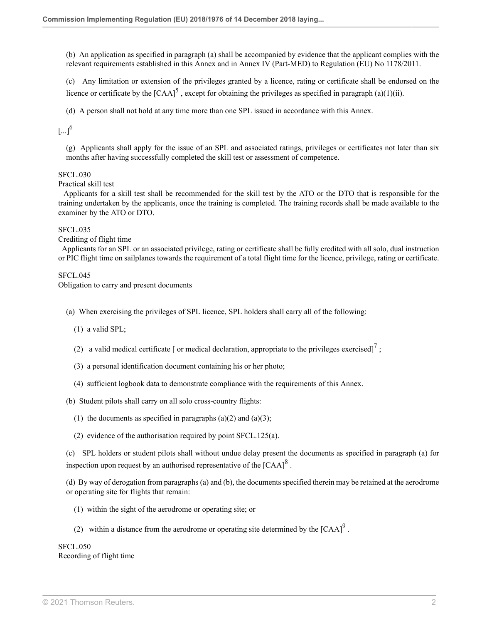(b) An application as specified in paragraph (a) shall be accompanied by evidence that the applicant complies with the relevant requirements established in this Annex and in Annex IV (Part-MED) to Regulation (EU) No 1178/2011.

<span id="page-33-0"></span>(c) Any limitation or extension of the privileges granted by a licence, rating or certificate shall be endorsed on the licence or certificate by the  $[CAA]^{5}$  $[CAA]^{5}$  $[CAA]^{5}$ , except for obtaining the privileges as specified in paragraph (a)(1)(ii).

(d) A person shall not hold at any time more than one SPL issued in accordance with this Annex.

<span id="page-33-1"></span> $\lbrack ...]^{6}$  $\lbrack ...]^{6}$  $\lbrack ...]^{6}$ 

(g) Applicants shall apply for the issue of an SPL and associated ratings, privileges or certificates not later than six months after having successfully completed the skill test or assessment of competence.

#### SFCL.030

Practical skill test

 Applicants for a skill test shall be recommended for the skill test by the ATO or the DTO that is responsible for the training undertaken by the applicants, once the training is completed. The training records shall be made available to the examiner by the ATO or DTO.

#### SFCL.035

Crediting of flight time

 Applicants for an SPL or an associated privilege, rating or certificate shall be fully credited with all solo, dual instruction or PIC flight time on sailplanes towards the requirement of a total flight time for the licence, privilege, rating or certificate.

#### SFCL.045

Obligation to carry and present documents

(a) When exercising the privileges of SPL licence, SPL holders shall carry all of the following:

- (1) a valid SPL;
- <span id="page-33-2"></span>(2) a valid medical certificate [ or medical declaration, appropriate to the privileges exercised]<sup>[7](#page-56-6)</sup>;
- (3) a personal identification document containing his or her photo;
- (4) sufficient logbook data to demonstrate compliance with the requirements of this Annex.
- (b) Student pilots shall carry on all solo cross-country flights:
	- (1) the documents as specified in paragraphs  $(a)(2)$  and  $(a)(3)$ ;
	- (2) evidence of the authorisation required by point SFCL.125(a).

(c) SPL holders or student pilots shall without undue delay present the documents as specified in paragraph (a) for inspection upon request by an authorised representative of the  $[{\rm CAA}]^8$  $[{\rm CAA}]^8$ .

(d) By way of derogation from paragraphs (a) and (b), the documents specified therein may be retained at the aerodrome or operating site for flights that remain:

- <span id="page-33-3"></span>(1) within the sight of the aerodrome or operating site; or
- <span id="page-33-4"></span>(2) within a distance from the aerodrome or operating site determined by the  $[CAA]^{9}$  $[CAA]^{9}$  $[CAA]^{9}$ .

SFCL.050 Recording of flight time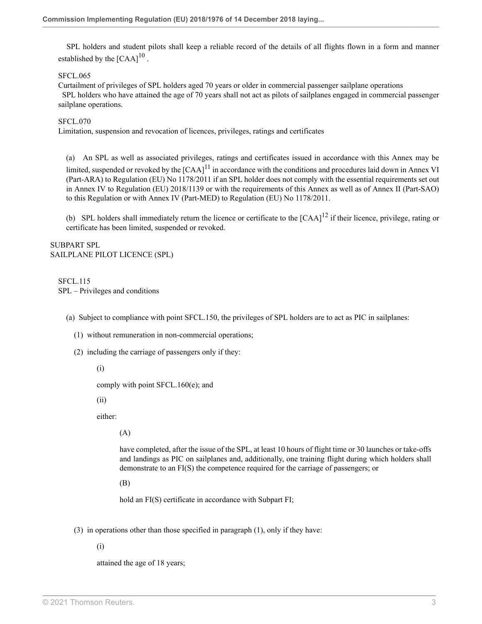<span id="page-34-0"></span> SPL holders and student pilots shall keep a reliable record of the details of all flights flown in a form and manner established by the  $[{\rm CAA}]^{10}$  $[{\rm CAA}]^{10}$  $[{\rm CAA}]^{10}$ .

SFCL.065

Curtailment of privileges of SPL holders aged 70 years or older in commercial passenger sailplane operations SPL holders who have attained the age of 70 years shall not act as pilots of sailplanes engaged in commercial passenger sailplane operations.

#### SFCL.070

Limitation, suspension and revocation of licences, privileges, ratings and certificates

<span id="page-34-1"></span>(a) An SPL as well as associated privileges, ratings and certificates issued in accordance with this Annex may be limited, suspended or revoked by the  $[{\rm CAA}]^{11}$  $[{\rm CAA}]^{11}$  $[{\rm CAA}]^{11}$  in accordance with the conditions and procedures laid down in Annex VI (Part-ARA) to Regulation (EU) No 1178/2011 if an SPL holder does not comply with the essential requirements set out in Annex IV to Regulation (EU) 2018/1139 or with the requirements of this Annex as well as of Annex II (Part-SAO) to this Regulation or with Annex IV (Part-MED) to Regulation (EU) No 1178/2011.

<span id="page-34-2"></span>(b) SPL holders shall immediately return the licence or certificate to the  $[CAA]^{12}$  $[CAA]^{12}$  $[CAA]^{12}$  if their licence, privilege, rating or certificate has been limited, suspended or revoked.

SUBPART SPL SAILPLANE PILOT LICENCE (SPL)

SFCL.115 SPL – Privileges and conditions

- (a) Subject to compliance with point SFCL.150, the privileges of SPL holders are to act as PIC in sailplanes:
	- (1) without remuneration in non-commercial operations;
	- (2) including the carriage of passengers only if they:

(i)

comply with point SFCL.160(e); and

(ii)

either:

(A)

have completed, after the issue of the SPL, at least 10 hours of flight time or 30 launches or take-offs and landings as PIC on sailplanes and, additionally, one training flight during which holders shall demonstrate to an FI(S) the competence required for the carriage of passengers; or

(B)

hold an FI(S) certificate in accordance with Subpart FI;

(3) in operations other than those specified in paragraph (1), only if they have:

(i)

attained the age of 18 years;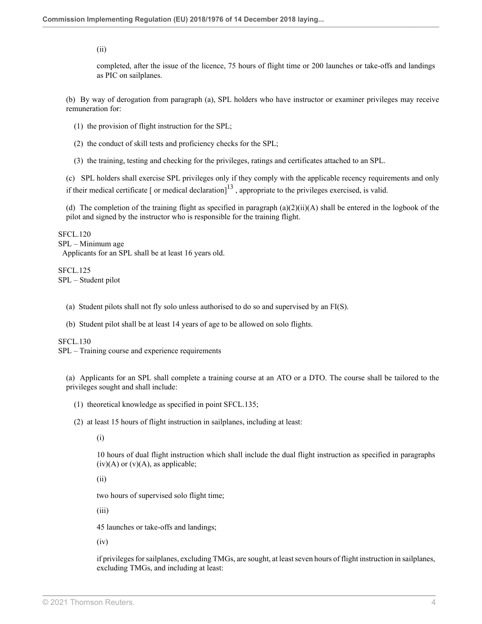(ii)

completed, after the issue of the licence, 75 hours of flight time or 200 launches or take-offs and landings as PIC on sailplanes.

(b) By way of derogation from paragraph (a), SPL holders who have instructor or examiner privileges may receive remuneration for:

- (1) the provision of flight instruction for the SPL;
- (2) the conduct of skill tests and proficiency checks for the SPL;
- <span id="page-35-0"></span>(3) the training, testing and checking for the privileges, ratings and certificates attached to an SPL.

(c) SPL holders shall exercise SPL privileges only if they comply with the applicable recency requirements and only if their medical certificate [ or medical declaration] $^{13}$  $^{13}$  $^{13}$ , appropriate to the privileges exercised, is valid.

(d) The completion of the training flight as specified in paragraph  $(a)(2)(ii)(A)$  shall be entered in the logbook of the pilot and signed by the instructor who is responsible for the training flight.

SFCL.120 SPL – Minimum age Applicants for an SPL shall be at least 16 years old.

SFCL.125 SPL – Student pilot

- (a) Student pilots shall not fly solo unless authorised to do so and supervised by an FI(S).
- (b) Student pilot shall be at least 14 years of age to be allowed on solo flights.

SFCL.130

SPL – Training course and experience requirements

(a) Applicants for an SPL shall complete a training course at an ATO or a DTO. The course shall be tailored to the privileges sought and shall include:

- (1) theoretical knowledge as specified in point SFCL.135;
- (2) at least 15 hours of flight instruction in sailplanes, including at least:

(i)

10 hours of dual flight instruction which shall include the dual flight instruction as specified in paragraphs  $(iv)(A)$  or  $(v)(A)$ , as applicable;

(ii)

two hours of supervised solo flight time;

(iii)

45 launches or take-offs and landings;

(iv)

if privileges for sailplanes, excluding TMGs, are sought, at least seven hours of flight instruction in sailplanes, excluding TMGs, and including at least: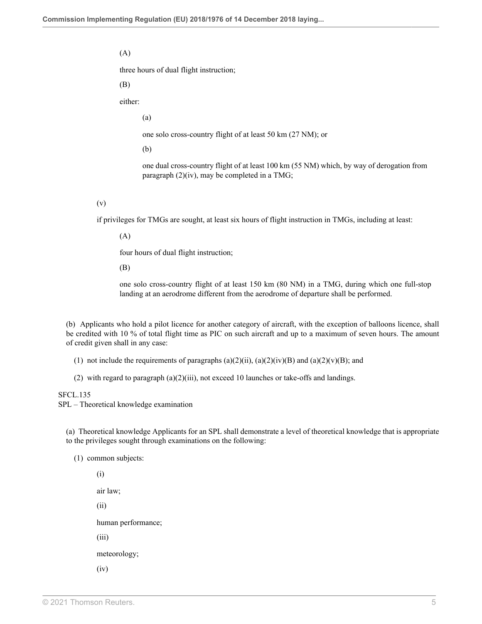(A)

three hours of dual flight instruction;

(B)

either:

(a)

one solo cross-country flight of at least 50 km (27 NM); or

(b)

one dual cross-country flight of at least 100 km (55 NM) which, by way of derogation from paragraph (2)(iv), may be completed in a TMG;

(v)

if privileges for TMGs are sought, at least six hours of flight instruction in TMGs, including at least:

(A)

four hours of dual flight instruction;

(B)

one solo cross-country flight of at least 150 km (80 NM) in a TMG, during which one full-stop landing at an aerodrome different from the aerodrome of departure shall be performed.

(b) Applicants who hold a pilot licence for another category of aircraft, with the exception of balloons licence, shall be credited with 10 % of total flight time as PIC on such aircraft and up to a maximum of seven hours. The amount of credit given shall in any case:

(1) not include the requirements of paragraphs  $(a)(2)(ii)$ ,  $(a)(2)(iv)(B)$  and  $(a)(2)(v)(B)$ ; and

(2) with regard to paragraph  $(a)(2)(iii)$ , not exceed 10 launches or take-offs and landings.

#### SFCL.135

SPL – Theoretical knowledge examination

(a) Theoretical knowledge Applicants for an SPL shall demonstrate a level of theoretical knowledge that is appropriate to the privileges sought through examinations on the following:

(1) common subjects:

(i) air law; (ii) human performance; (iii) meteorology; (iv)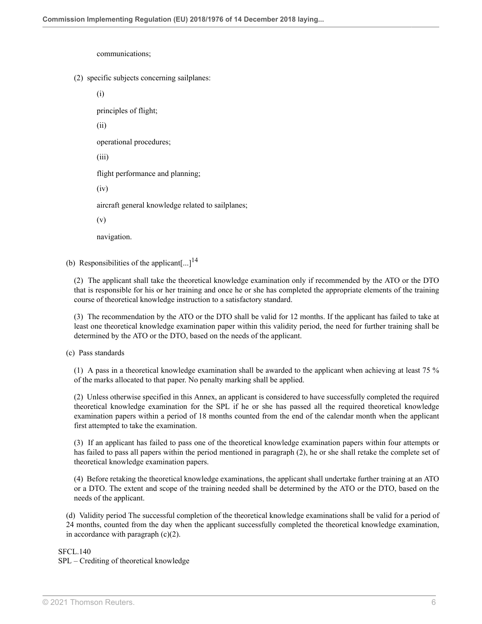communications;

(2) specific subjects concerning sailplanes:

(i)

principles of flight;

(ii)

operational procedures;

(iii)

flight performance and planning;

(iv)

aircraft general knowledge related to sailplanes;

(v)

<span id="page-37-0"></span>navigation.

(b) Responsibilities of the applicant $\left[...]^{14}$  $\left[...]^{14}$  $\left[...]^{14}$ 

(2) The applicant shall take the theoretical knowledge examination only if recommended by the ATO or the DTO that is responsible for his or her training and once he or she has completed the appropriate elements of the training course of theoretical knowledge instruction to a satisfactory standard.

(3) The recommendation by the ATO or the DTO shall be valid for 12 months. If the applicant has failed to take at least one theoretical knowledge examination paper within this validity period, the need for further training shall be determined by the ATO or the DTO, based on the needs of the applicant.

(c) Pass standards

(1) A pass in a theoretical knowledge examination shall be awarded to the applicant when achieving at least 75 % of the marks allocated to that paper. No penalty marking shall be applied.

(2) Unless otherwise specified in this Annex, an applicant is considered to have successfully completed the required theoretical knowledge examination for the SPL if he or she has passed all the required theoretical knowledge examination papers within a period of 18 months counted from the end of the calendar month when the applicant first attempted to take the examination.

(3) If an applicant has failed to pass one of the theoretical knowledge examination papers within four attempts or has failed to pass all papers within the period mentioned in paragraph (2), he or she shall retake the complete set of theoretical knowledge examination papers.

(4) Before retaking the theoretical knowledge examinations, the applicant shall undertake further training at an ATO or a DTO. The extent and scope of the training needed shall be determined by the ATO or the DTO, based on the needs of the applicant.

(d) Validity period The successful completion of the theoretical knowledge examinations shall be valid for a period of 24 months, counted from the day when the applicant successfully completed the theoretical knowledge examination, in accordance with paragraph  $(c)(2)$ .

SFCL.140

SPL – Crediting of theoretical knowledge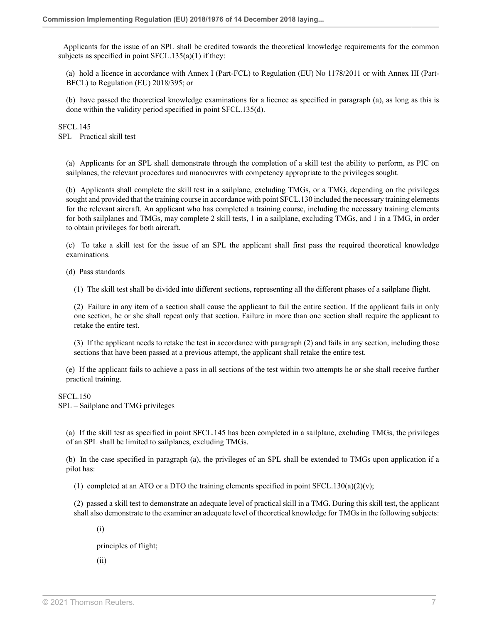Applicants for the issue of an SPL shall be credited towards the theoretical knowledge requirements for the common subjects as specified in point  $SFCL.135(a)(1)$  if they:

(a) hold a licence in accordance with Annex I (Part-FCL) to Regulation (EU) No 1178/2011 or with Annex III (Part-BFCL) to Regulation (EU) 2018/395; or

(b) have passed the theoretical knowledge examinations for a licence as specified in paragraph (a), as long as this is done within the validity period specified in point SFCL.135(d).

SFCL.145 SPL – Practical skill test

(a) Applicants for an SPL shall demonstrate through the completion of a skill test the ability to perform, as PIC on sailplanes, the relevant procedures and manoeuvres with competency appropriate to the privileges sought.

(b) Applicants shall complete the skill test in a sailplane, excluding TMGs, or a TMG, depending on the privileges sought and provided that the training course in accordance with point SFCL.130 included the necessary training elements for the relevant aircraft. An applicant who has completed a training course, including the necessary training elements for both sailplanes and TMGs, may complete 2 skill tests, 1 in a sailplane, excluding TMGs, and 1 in a TMG, in order to obtain privileges for both aircraft.

(c) To take a skill test for the issue of an SPL the applicant shall first pass the required theoretical knowledge examinations.

(d) Pass standards

(1) The skill test shall be divided into different sections, representing all the different phases of a sailplane flight.

(2) Failure in any item of a section shall cause the applicant to fail the entire section. If the applicant fails in only one section, he or she shall repeat only that section. Failure in more than one section shall require the applicant to retake the entire test.

(3) If the applicant needs to retake the test in accordance with paragraph (2) and fails in any section, including those sections that have been passed at a previous attempt, the applicant shall retake the entire test.

(e) If the applicant fails to achieve a pass in all sections of the test within two attempts he or she shall receive further practical training.

SFCL.150

SPL – Sailplane and TMG privileges

(a) If the skill test as specified in point SFCL.145 has been completed in a sailplane, excluding TMGs, the privileges of an SPL shall be limited to sailplanes, excluding TMGs.

(b) In the case specified in paragraph (a), the privileges of an SPL shall be extended to TMGs upon application if a pilot has:

(1) completed at an ATO or a DTO the training elements specified in point SFCL.130(a)(2)(v);

(2) passed a skill test to demonstrate an adequate level of practical skill in a TMG. During this skill test, the applicant shall also demonstrate to the examiner an adequate level of theoretical knowledge for TMGs in the following subjects:

(i)

principles of flight;

(ii)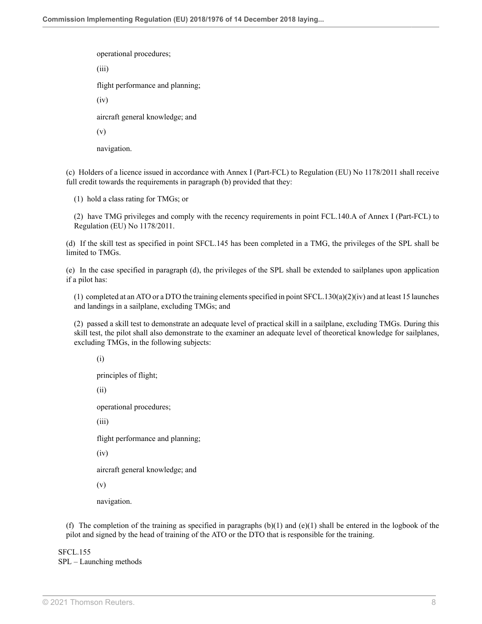operational procedures;

(iii)

flight performance and planning;

(iv)

aircraft general knowledge; and

(v)

navigation.

(c) Holders of a licence issued in accordance with Annex I (Part-FCL) to Regulation (EU) No 1178/2011 shall receive full credit towards the requirements in paragraph (b) provided that they:

(1) hold a class rating for TMGs; or

(2) have TMG privileges and comply with the recency requirements in point FCL.140.A of Annex I (Part-FCL) to Regulation (EU) No 1178/2011.

(d) If the skill test as specified in point SFCL.145 has been completed in a TMG, the privileges of the SPL shall be limited to TMGs.

(e) In the case specified in paragraph (d), the privileges of the SPL shall be extended to sailplanes upon application if a pilot has:

(1) completed at an ATO or a DTO the training elements specified in point SFCL.130(a)(2)(iv) and at least 15 launches and landings in a sailplane, excluding TMGs; and

(2) passed a skill test to demonstrate an adequate level of practical skill in a sailplane, excluding TMGs. During this skill test, the pilot shall also demonstrate to the examiner an adequate level of theoretical knowledge for sailplanes, excluding TMGs, in the following subjects:

(i)

principles of flight;

(ii)

operational procedures;

(iii)

flight performance and planning;

(iv)

aircraft general knowledge; and

(v)

navigation.

(f) The completion of the training as specified in paragraphs  $(b)(1)$  and  $(e)(1)$  shall be entered in the logbook of the pilot and signed by the head of training of the ATO or the DTO that is responsible for the training.

SFCL.155 SPL – Launching methods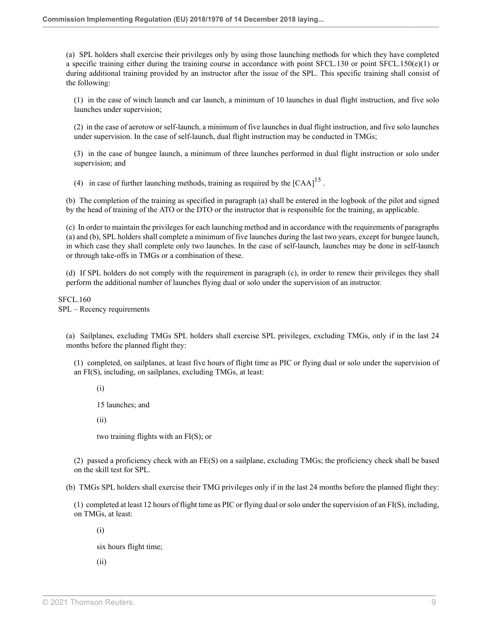(a) SPL holders shall exercise their privileges only by using those launching methods for which they have completed a specific training either during the training course in accordance with point SFCL.130 or point SFCL.150(e)(1) or during additional training provided by an instructor after the issue of the SPL. This specific training shall consist of the following:

(1) in the case of winch launch and car launch, a minimum of 10 launches in dual flight instruction, and five solo launches under supervision;

(2) in the case of aerotow or self-launch, a minimum of five launches in dual flight instruction, and five solo launches under supervision. In the case of self-launch, dual flight instruction may be conducted in TMGs;

(3) in the case of bungee launch, a minimum of three launches performed in dual flight instruction or solo under supervision; and

<span id="page-40-0"></span>(4) in case of further launching methods, training as required by the  $[CAA]^{15}$  $[CAA]^{15}$  $[CAA]^{15}$ .

(b) The completion of the training as specified in paragraph (a) shall be entered in the logbook of the pilot and signed by the head of training of the ATO or the DTO or the instructor that is responsible for the training, as applicable.

(c) In order to maintain the privileges for each launching method and in accordance with the requirements of paragraphs (a) and (b), SPL holders shall complete a minimum of five launches during the last two years, except for bungee launch, in which case they shall complete only two launches. In the case of self-launch, launches may be done in self-launch or through take-offs in TMGs or a combination of these.

(d) If SPL holders do not comply with the requirement in paragraph (c), in order to renew their privileges they shall perform the additional number of launches flying dual or solo under the supervision of an instructor.

SFCL.160 SPL – Recency requirements

(a) Sailplanes, excluding TMGs SPL holders shall exercise SPL privileges, excluding TMGs, only if in the last 24 months before the planned flight they:

(1) completed, on sailplanes, at least five hours of flight time as PIC or flying dual or solo under the supervision of an FI(S), including, on sailplanes, excluding TMGs, at least:

(i)

15 launches; and

(ii)

two training flights with an FI(S); or

(2) passed a proficiency check with an FE(S) on a sailplane, excluding TMGs; the proficiency check shall be based on the skill test for SPL.

(b) TMGs SPL holders shall exercise their TMG privileges only if in the last 24 months before the planned flight they:

(1) completed at least 12 hours of flight time as PIC or flying dual or solo under the supervision of an FI(S), including, on TMGs, at least:

(i)

six hours flight time;

(ii)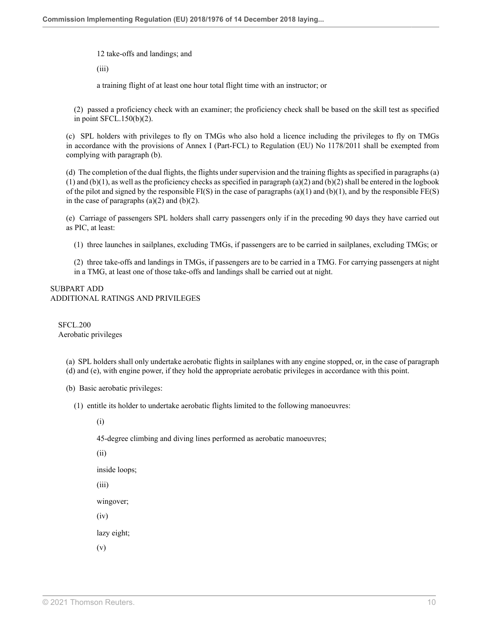12 take-offs and landings; and

(iii)

a training flight of at least one hour total flight time with an instructor; or

(2) passed a proficiency check with an examiner; the proficiency check shall be based on the skill test as specified in point SFCL.150(b)(2).

(c) SPL holders with privileges to fly on TMGs who also hold a licence including the privileges to fly on TMGs in accordance with the provisions of Annex I (Part-FCL) to Regulation (EU) No 1178/2011 shall be exempted from complying with paragraph (b).

(d) The completion of the dual flights, the flights under supervision and the training flights as specified in paragraphs (a)  $(1)$  and  $(b)(1)$ , as well as the proficiency checks as specified in paragraph  $(a)(2)$  and  $(b)(2)$  shall be entered in the logbook of the pilot and signed by the responsible  $FI(S)$  in the case of paragraphs (a)(1) and (b)(1), and by the responsible  $FE(S)$ in the case of paragraphs  $(a)(2)$  and  $(b)(2)$ .

(e) Carriage of passengers SPL holders shall carry passengers only if in the preceding 90 days they have carried out as PIC, at least:

(1) three launches in sailplanes, excluding TMGs, if passengers are to be carried in sailplanes, excluding TMGs; or

(2) three take-offs and landings in TMGs, if passengers are to be carried in a TMG. For carrying passengers at night in a TMG, at least one of those take-offs and landings shall be carried out at night.

#### SUBPART ADD ADDITIONAL RATINGS AND PRIVILEGES

SFCL.200 Aerobatic privileges

> (a) SPL holders shall only undertake aerobatic flights in sailplanes with any engine stopped, or, in the case of paragraph (d) and (e), with engine power, if they hold the appropriate aerobatic privileges in accordance with this point.

(b) Basic aerobatic privileges:

(1) entitle its holder to undertake aerobatic flights limited to the following manoeuvres:

(i)

45-degree climbing and diving lines performed as aerobatic manoeuvres;

(ii)

inside loops;

(iii)

wingover;

(iv)

lazy eight;

(v)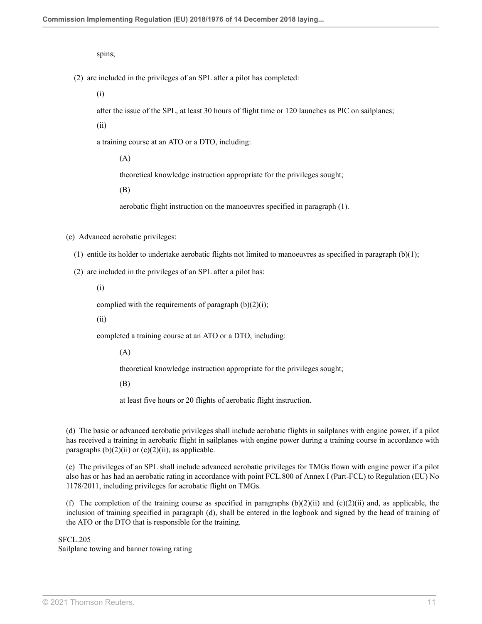spins;

(2) are included in the privileges of an SPL after a pilot has completed:

(i)

after the issue of the SPL, at least 30 hours of flight time or 120 launches as PIC on sailplanes;

(ii)

a training course at an ATO or a DTO, including:

(A)

theoretical knowledge instruction appropriate for the privileges sought;

(B)

aerobatic flight instruction on the manoeuvres specified in paragraph (1).

(c) Advanced aerobatic privileges:

- (1) entitle its holder to undertake aerobatic flights not limited to manoeuvres as specified in paragraph (b)(1);
- (2) are included in the privileges of an SPL after a pilot has:

(i)

complied with the requirements of paragraph  $(b)(2)(i)$ ;

(ii)

completed a training course at an ATO or a DTO, including:

(A)

theoretical knowledge instruction appropriate for the privileges sought;

(B)

at least five hours or 20 flights of aerobatic flight instruction.

(d) The basic or advanced aerobatic privileges shall include aerobatic flights in sailplanes with engine power, if a pilot has received a training in aerobatic flight in sailplanes with engine power during a training course in accordance with paragraphs  $(b)(2)(ii)$  or  $(c)(2)(ii)$ , as applicable.

(e) The privileges of an SPL shall include advanced aerobatic privileges for TMGs flown with engine power if a pilot also has or has had an aerobatic rating in accordance with point FCL.800 of Annex I (Part-FCL) to Regulation (EU) No 1178/2011, including privileges for aerobatic flight on TMGs.

(f) The completion of the training course as specified in paragraphs  $(b)(2)(ii)$  and  $(c)(2)(ii)$  and, as applicable, the inclusion of training specified in paragraph (d), shall be entered in the logbook and signed by the head of training of the ATO or the DTO that is responsible for the training.

SFCL.205

Sailplane towing and banner towing rating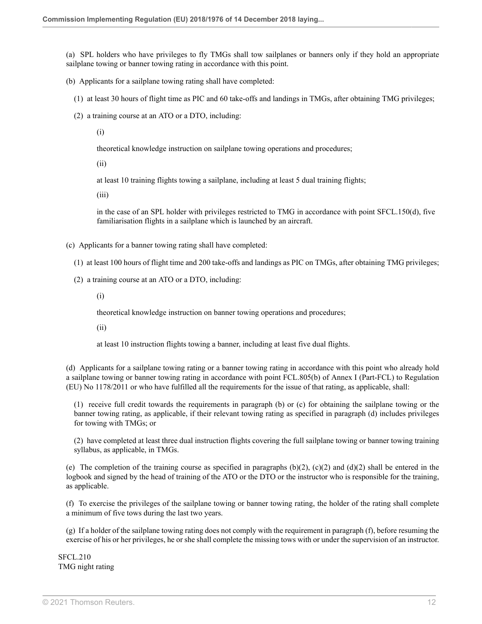(a) SPL holders who have privileges to fly TMGs shall tow sailplanes or banners only if they hold an appropriate sailplane towing or banner towing rating in accordance with this point.

- (b) Applicants for a sailplane towing rating shall have completed:
	- (1) at least 30 hours of flight time as PIC and 60 take-offs and landings in TMGs, after obtaining TMG privileges;
	- (2) a training course at an ATO or a DTO, including:

(i)

theoretical knowledge instruction on sailplane towing operations and procedures;

(ii)

at least 10 training flights towing a sailplane, including at least 5 dual training flights;

(iii)

in the case of an SPL holder with privileges restricted to TMG in accordance with point SFCL.150(d), five familiarisation flights in a sailplane which is launched by an aircraft.

- (c) Applicants for a banner towing rating shall have completed:
	- (1) at least 100 hours of flight time and 200 take-offs and landings as PIC on TMGs, after obtaining TMG privileges;
	- (2) a training course at an ATO or a DTO, including:
		- (i)

theoretical knowledge instruction on banner towing operations and procedures;

(ii)

at least 10 instruction flights towing a banner, including at least five dual flights.

(d) Applicants for a sailplane towing rating or a banner towing rating in accordance with this point who already hold a sailplane towing or banner towing rating in accordance with point FCL.805(b) of Annex I (Part-FCL) to Regulation (EU) No 1178/2011 or who have fulfilled all the requirements for the issue of that rating, as applicable, shall:

(1) receive full credit towards the requirements in paragraph (b) or (c) for obtaining the sailplane towing or the banner towing rating, as applicable, if their relevant towing rating as specified in paragraph (d) includes privileges for towing with TMGs; or

(2) have completed at least three dual instruction flights covering the full sailplane towing or banner towing training syllabus, as applicable, in TMGs.

(e) The completion of the training course as specified in paragraphs  $(b)(2)$ ,  $(c)(2)$  and  $(d)(2)$  shall be entered in the logbook and signed by the head of training of the ATO or the DTO or the instructor who is responsible for the training, as applicable.

(f) To exercise the privileges of the sailplane towing or banner towing rating, the holder of the rating shall complete a minimum of five tows during the last two years.

(g) If a holder of the sailplane towing rating does not comply with the requirement in paragraph (f), before resuming the exercise of his or her privileges, he or she shall complete the missing tows with or under the supervision of an instructor.

SFCL.210 TMG night rating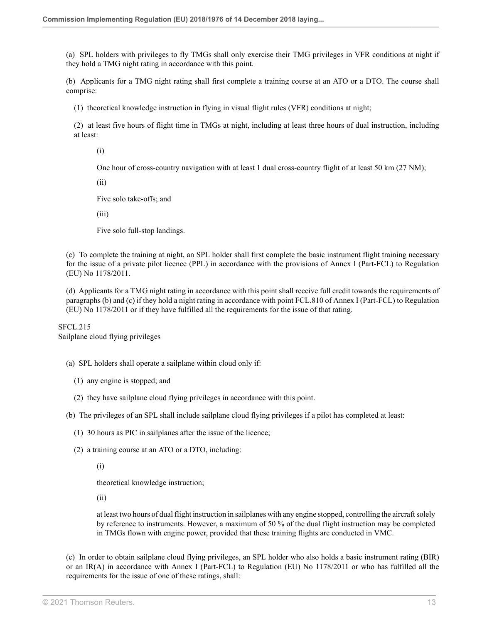(a) SPL holders with privileges to fly TMGs shall only exercise their TMG privileges in VFR conditions at night if they hold a TMG night rating in accordance with this point.

(b) Applicants for a TMG night rating shall first complete a training course at an ATO or a DTO. The course shall comprise:

(1) theoretical knowledge instruction in flying in visual flight rules (VFR) conditions at night;

(2) at least five hours of flight time in TMGs at night, including at least three hours of dual instruction, including at least:

(i)

One hour of cross-country navigation with at least 1 dual cross-country flight of at least 50 km (27 NM);

(ii)

Five solo take-offs; and

(iii)

Five solo full-stop landings.

(c) To complete the training at night, an SPL holder shall first complete the basic instrument flight training necessary for the issue of a private pilot licence (PPL) in accordance with the provisions of Annex I (Part-FCL) to Regulation (EU) No 1178/2011.

(d) Applicants for a TMG night rating in accordance with this point shall receive full credit towards the requirements of paragraphs (b) and (c) if they hold a night rating in accordance with point FCL.810 of Annex I (Part-FCL) to Regulation (EU) No 1178/2011 or if they have fulfilled all the requirements for the issue of that rating.

SFCL.215 Sailplane cloud flying privileges

(a) SPL holders shall operate a sailplane within cloud only if:

- (1) any engine is stopped; and
- (2) they have sailplane cloud flying privileges in accordance with this point.

(b) The privileges of an SPL shall include sailplane cloud flying privileges if a pilot has completed at least:

- (1) 30 hours as PIC in sailplanes after the issue of the licence;
- (2) a training course at an ATO or a DTO, including:

(i)

theoretical knowledge instruction;

(ii)

at least two hours of dual flight instruction in sailplanes with any engine stopped, controlling the aircraft solely by reference to instruments. However, a maximum of 50 % of the dual flight instruction may be completed in TMGs flown with engine power, provided that these training flights are conducted in VMC.

(c) In order to obtain sailplane cloud flying privileges, an SPL holder who also holds a basic instrument rating (BIR) or an IR(A) in accordance with Annex I (Part-FCL) to Regulation (EU) No 1178/2011 or who has fulfilled all the requirements for the issue of one of these ratings, shall: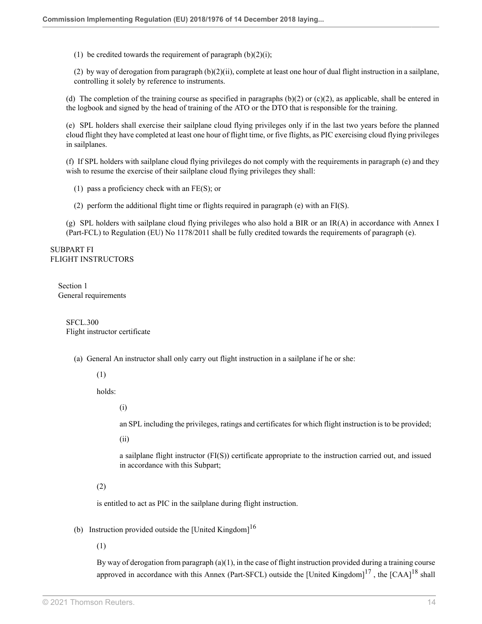(1) be credited towards the requirement of paragraph  $(b)(2)(i)$ ;

(2) by way of derogation from paragraph  $(b)(2)(ii)$ , complete at least one hour of dual flight instruction in a sailplane, controlling it solely by reference to instruments.

(d) The completion of the training course as specified in paragraphs  $(b)(2)$  or  $(c)(2)$ , as applicable, shall be entered in the logbook and signed by the head of training of the ATO or the DTO that is responsible for the training.

(e) SPL holders shall exercise their sailplane cloud flying privileges only if in the last two years before the planned cloud flight they have completed at least one hour of flight time, or five flights, as PIC exercising cloud flying privileges in sailplanes.

(f) If SPL holders with sailplane cloud flying privileges do not comply with the requirements in paragraph (e) and they wish to resume the exercise of their sailplane cloud flying privileges they shall:

(1) pass a proficiency check with an FE(S); or

(2) perform the additional flight time or flights required in paragraph (e) with an FI(S).

(g) SPL holders with sailplane cloud flying privileges who also hold a BIR or an IR(A) in accordance with Annex I (Part-FCL) to Regulation (EU) No 1178/2011 shall be fully credited towards the requirements of paragraph (e).

SUBPART FI FLIGHT INSTRUCTORS

Section 1 General requirements

> SFCL.300 Flight instructor certificate

(a) General An instructor shall only carry out flight instruction in a sailplane if he or she:

(1)

holds:

(i)

an SPL including the privileges, ratings and certificates for which flight instruction is to be provided;

(ii)

<span id="page-45-2"></span><span id="page-45-0"></span>a sailplane flight instructor (FI(S)) certificate appropriate to the instruction carried out, and issued in accordance with this Subpart;

(2)

is entitled to act as PIC in the sailplane during flight instruction.

(b) Instruction provided outside the [United Kingdom]<sup>[16](#page-56-15)</sup>

(1)

<span id="page-45-1"></span>By way of derogation from paragraph (a)(1), in the case of flight instruction provided during a training course approved in accordance with this Annex (Part-SFCL) outside the [United Kingdom] $^{17}$  $^{17}$  $^{17}$ , the [CAA] $^{18}$  $^{18}$  $^{18}$  shall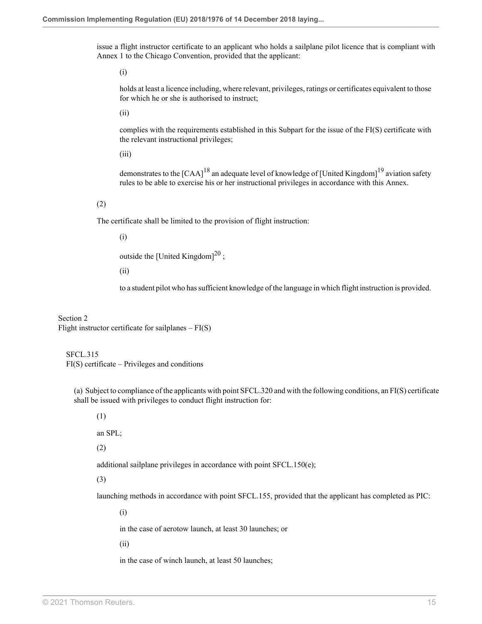issue a flight instructor certificate to an applicant who holds a sailplane pilot licence that is compliant with Annex 1 to the Chicago Convention, provided that the applicant:

(i)

holds at least a licence including, where relevant, privileges, ratings or certificates equivalent to those for which he or she is authorised to instruct;

(ii)

complies with the requirements established in this Subpart for the issue of the FI(S) certificate with the relevant instructional privileges;

(iii)

<span id="page-46-0"></span>demonstrates to the [CAA]<sup>[18](#page-56-17)</sup> an adequate level of knowledge of [United Kingdom]<sup>[19](#page-56-18)</sup> aviation safety rules to be able to exercise his or her instructional privileges in accordance with this Annex.

(2)

The certificate shall be limited to the provision of flight instruction:

(i)

<span id="page-46-1"></span>outside the [United Kingdom] $^{20}$  $^{20}$  $^{20}$ ;

(ii)

to a student pilot who has sufficient knowledge of the language in which flight instruction is provided.

Section 2 Flight instructor certificate for sailplanes  $-FI(S)$ 

SFCL.315 FI(S) certificate – Privileges and conditions

(a) Subject to compliance of the applicants with point SFCL.320 and with the following conditions, an FI(S) certificate shall be issued with privileges to conduct flight instruction for:

(1)

an SPL;

(2)

additional sailplane privileges in accordance with point SFCL.150(e);

(3)

launching methods in accordance with point SFCL.155, provided that the applicant has completed as PIC:

(i)

in the case of aerotow launch, at least 30 launches; or

(ii)

in the case of winch launch, at least 50 launches;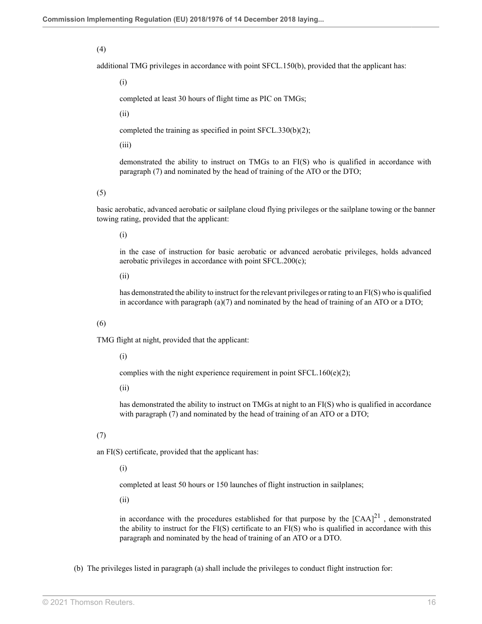#### (4)

additional TMG privileges in accordance with point SFCL.150(b), provided that the applicant has:

(i)

completed at least 30 hours of flight time as PIC on TMGs;

(ii)

completed the training as specified in point SFCL.330(b)(2);

(iii)

demonstrated the ability to instruct on TMGs to an FI(S) who is qualified in accordance with paragraph (7) and nominated by the head of training of the ATO or the DTO;

#### (5)

basic aerobatic, advanced aerobatic or sailplane cloud flying privileges or the sailplane towing or the banner towing rating, provided that the applicant:

(i)

in the case of instruction for basic aerobatic or advanced aerobatic privileges, holds advanced aerobatic privileges in accordance with point SFCL.200(c);

(ii)

has demonstrated the ability to instruct for the relevant privileges or rating to an FI(S) who is qualified in accordance with paragraph  $(a)(7)$  and nominated by the head of training of an ATO or a DTO;

#### (6)

TMG flight at night, provided that the applicant:

(i)

complies with the night experience requirement in point SFCL.160(e)(2);

(ii)

has demonstrated the ability to instruct on TMGs at night to an FI(S) who is qualified in accordance with paragraph (7) and nominated by the head of training of an ATO or a DTO;

#### (7)

an FI(S) certificate, provided that the applicant has:

#### (i)

completed at least 50 hours or 150 launches of flight instruction in sailplanes;

(ii)

<span id="page-47-0"></span>in accordance with the procedures established for that purpose by the  $[{\rm CAA}]^{21}$  $[{\rm CAA}]^{21}$  $[{\rm CAA}]^{21}$ , demonstrated the ability to instruct for the FI(S) certificate to an FI(S) who is qualified in accordance with this paragraph and nominated by the head of training of an ATO or a DTO.

(b) The privileges listed in paragraph (a) shall include the privileges to conduct flight instruction for: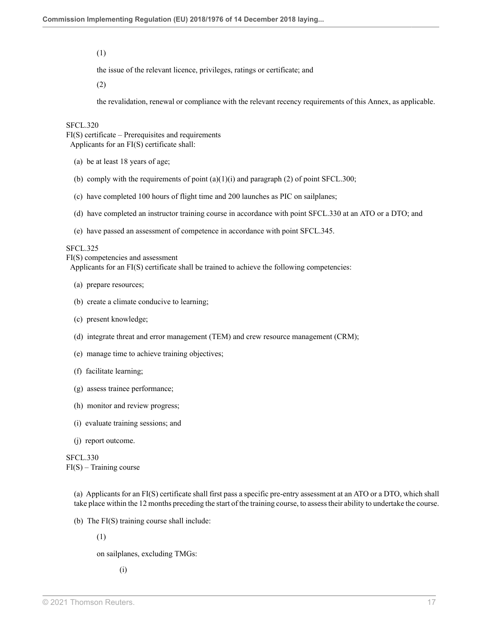(1)

the issue of the relevant licence, privileges, ratings or certificate; and

(2)

the revalidation, renewal or compliance with the relevant recency requirements of this Annex, as applicable.

#### SFCL.320

FI(S) certificate – Prerequisites and requirements Applicants for an FI(S) certificate shall:

- (a) be at least 18 years of age;
- (b) comply with the requirements of point  $(a)(1)(i)$  and paragraph (2) of point SFCL.300;
- (c) have completed 100 hours of flight time and 200 launches as PIC on sailplanes;
- (d) have completed an instructor training course in accordance with point SFCL.330 at an ATO or a DTO; and
- (e) have passed an assessment of competence in accordance with point SFCL.345.

#### SFCL.325

FI(S) competencies and assessment

Applicants for an FI(S) certificate shall be trained to achieve the following competencies:

- (a) prepare resources;
- (b) create a climate conducive to learning;
- (c) present knowledge;
- (d) integrate threat and error management (TEM) and crew resource management (CRM);
- (e) manage time to achieve training objectives;
- (f) facilitate learning;
- (g) assess trainee performance;
- (h) monitor and review progress;
- (i) evaluate training sessions; and
- (j) report outcome.

SFCL.330  $FI(S)$  – Training course

> (a) Applicants for an FI(S) certificate shall first pass a specific pre-entry assessment at an ATO or a DTO, which shall take place within the 12 months preceding the start of the training course, to assess their ability to undertake the course.

- (b) The FI(S) training course shall include:
	- (1)

on sailplanes, excluding TMGs: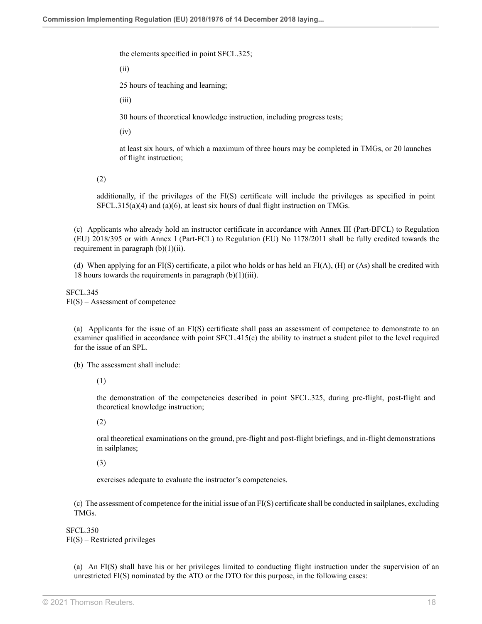the elements specified in point SFCL.325;

(ii)

25 hours of teaching and learning;

(iii)

30 hours of theoretical knowledge instruction, including progress tests;

(iv)

at least six hours, of which a maximum of three hours may be completed in TMGs, or 20 launches of flight instruction;

(2)

additionally, if the privileges of the FI(S) certificate will include the privileges as specified in point SFCL.315(a)(4) and (a)(6), at least six hours of dual flight instruction on TMGs.

(c) Applicants who already hold an instructor certificate in accordance with Annex III (Part-BFCL) to Regulation (EU) 2018/395 or with Annex I (Part-FCL) to Regulation (EU) No 1178/2011 shall be fully credited towards the requirement in paragraph  $(b)(1)(ii)$ .

(d) When applying for an FI(S) certificate, a pilot who holds or has held an FI(A), (H) or (As) shall be credited with 18 hours towards the requirements in paragraph  $(b)(1)(iii)$ .

SFCL.345 FI(S) – Assessment of competence

(a) Applicants for the issue of an FI(S) certificate shall pass an assessment of competence to demonstrate to an examiner qualified in accordance with point SFCL.415(c) the ability to instruct a student pilot to the level required for the issue of an SPL.

(b) The assessment shall include:

(1)

the demonstration of the competencies described in point SFCL.325, during pre-flight, post-flight and theoretical knowledge instruction;

(2)

oral theoretical examinations on the ground, pre-flight and post-flight briefings, and in-flight demonstrations in sailplanes;

(3)

exercises adequate to evaluate the instructor's competencies.

(c) The assessment of competence for the initial issue of an FI(S) certificate shall be conducted in sailplanes, excluding TMGs.

SFCL.350 FI(S) – Restricted privileges

(a) An FI(S) shall have his or her privileges limited to conducting flight instruction under the supervision of an unrestricted FI(S) nominated by the ATO or the DTO for this purpose, in the following cases: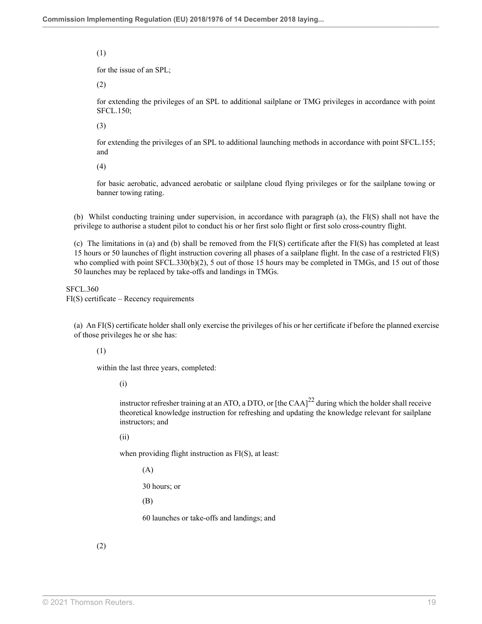#### (1)

for the issue of an SPL;

(2)

for extending the privileges of an SPL to additional sailplane or TMG privileges in accordance with point SFCL.150;

(3)

for extending the privileges of an SPL to additional launching methods in accordance with point SFCL.155; and

(4)

for basic aerobatic, advanced aerobatic or sailplane cloud flying privileges or for the sailplane towing or banner towing rating.

(b) Whilst conducting training under supervision, in accordance with paragraph (a), the FI(S) shall not have the privilege to authorise a student pilot to conduct his or her first solo flight or first solo cross-country flight.

(c) The limitations in (a) and (b) shall be removed from the FI(S) certificate after the FI(S) has completed at least 15 hours or 50 launches of flight instruction covering all phases of a sailplane flight. In the case of a restricted FI(S) who complied with point SFCL.330(b)(2), 5 out of those 15 hours may be completed in TMGs, and 15 out of those 50 launches may be replaced by take-offs and landings in TMGs.

SFCL.360 FI(S) certificate – Recency requirements

(a) An FI(S) certificate holder shall only exercise the privileges of his or her certificate if before the planned exercise of those privileges he or she has:

(1)

within the last three years, completed:

(i)

instructor refresher training at an ATO, a DTO, or [the CAA] $^{22}$  $^{22}$  $^{22}$  during which the holder shall receive theoretical knowledge instruction for refreshing and updating the knowledge relevant for sailplane instructors; and

(ii)

when providing flight instruction as FI(S), at least:

<span id="page-50-0"></span>(A)

30 hours; or

(B)

60 launches or take-offs and landings; and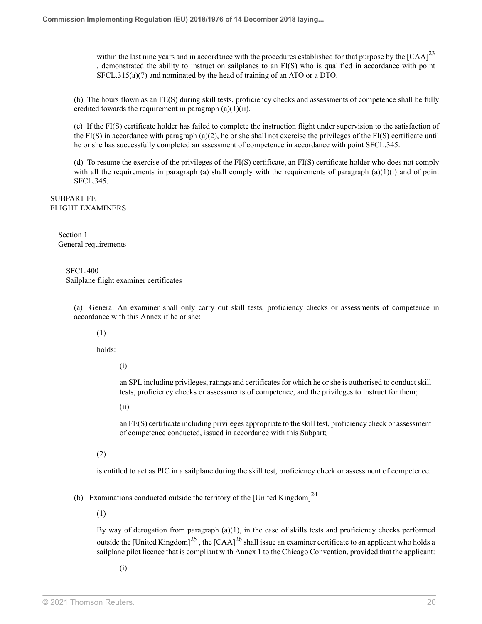<span id="page-51-0"></span>within the last nine years and in accordance with the procedures established for that purpose by the  $[{\rm CAA}]^{23}$  $[{\rm CAA}]^{23}$  $[{\rm CAA}]^{23}$ , demonstrated the ability to instruct on sailplanes to an FI(S) who is qualified in accordance with point SFCL.315(a)(7) and nominated by the head of training of an ATO or a DTO.

(b) The hours flown as an FE(S) during skill tests, proficiency checks and assessments of competence shall be fully credited towards the requirement in paragraph  $(a)(1)(ii)$ .

(c) If the FI(S) certificate holder has failed to complete the instruction flight under supervision to the satisfaction of the FI(S) in accordance with paragraph (a)(2), he or she shall not exercise the privileges of the FI(S) certificate until he or she has successfully completed an assessment of competence in accordance with point SFCL.345.

(d) To resume the exercise of the privileges of the FI(S) certificate, an FI(S) certificate holder who does not comply with all the requirements in paragraph (a) shall comply with the requirements of paragraph  $(a)(1)(i)$  and of point SFCL.345.

SUBPART FE FLIGHT EXAMINERS

> Section 1 General requirements

#### SFCL.400 Sailplane flight examiner certificates

(a) General An examiner shall only carry out skill tests, proficiency checks or assessments of competence in accordance with this Annex if he or she:

(1)

holds:

(i)

an SPL including privileges, ratings and certificates for which he or she is authorised to conduct skill tests, proficiency checks or assessments of competence, and the privileges to instruct for them;

(ii)

<span id="page-51-1"></span>an FE(S) certificate including privileges appropriate to the skill test, proficiency check or assessment of competence conducted, issued in accordance with this Subpart;

(2)

is entitled to act as PIC in a sailplane during the skill test, proficiency check or assessment of competence.

(b) Examinations conducted outside the territory of the [United Kingdom] $^{24}$  $^{24}$  $^{24}$ 

(1)

By way of derogation from paragraph (a)(1), in the case of skills tests and proficiency checks performed outside the [United Kingdom]<sup>[25](#page-57-1)</sup>, the [CAA]<sup>[26](#page-57-2)</sup> shall issue an examiner certificate to an applicant who holds a sailplane pilot licence that is compliant with Annex 1 to the Chicago Convention, provided that the applicant:

<span id="page-51-3"></span><span id="page-51-2"></span>(i)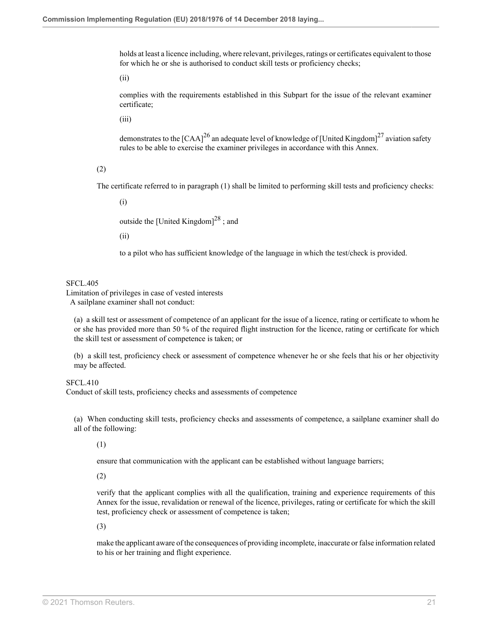holds at least a licence including, where relevant, privileges, ratings or certificates equivalent to those for which he or she is authorised to conduct skill tests or proficiency checks;

(ii)

complies with the requirements established in this Subpart for the issue of the relevant examiner certificate;

(iii)

<span id="page-52-0"></span>demonstrates to the [CAA]<sup>[26](#page-57-2)</sup> an adequate level of knowledge of [United Kingdom]<sup>[27](#page-57-3)</sup> aviation safety rules to be able to exercise the examiner privileges in accordance with this Annex.

(2)

The certificate referred to in paragraph (1) shall be limited to performing skill tests and proficiency checks:

(i)

<span id="page-52-1"></span>outside the [United Kingdom] $^{28}$  $^{28}$  $^{28}$ ; and

(ii)

to a pilot who has sufficient knowledge of the language in which the test/check is provided.

#### SFCL.405

Limitation of privileges in case of vested interests A sailplane examiner shall not conduct:

(a) a skill test or assessment of competence of an applicant for the issue of a licence, rating or certificate to whom he or she has provided more than 50 % of the required flight instruction for the licence, rating or certificate for which the skill test or assessment of competence is taken; or

(b) a skill test, proficiency check or assessment of competence whenever he or she feels that his or her objectivity may be affected.

SFCL.410

Conduct of skill tests, proficiency checks and assessments of competence

(a) When conducting skill tests, proficiency checks and assessments of competence, a sailplane examiner shall do all of the following:

(1)

ensure that communication with the applicant can be established without language barriers;

(2)

verify that the applicant complies with all the qualification, training and experience requirements of this Annex for the issue, revalidation or renewal of the licence, privileges, rating or certificate for which the skill test, proficiency check or assessment of competence is taken;

(3)

make the applicant aware of the consequences of providing incomplete, inaccurate or false information related to his or her training and flight experience.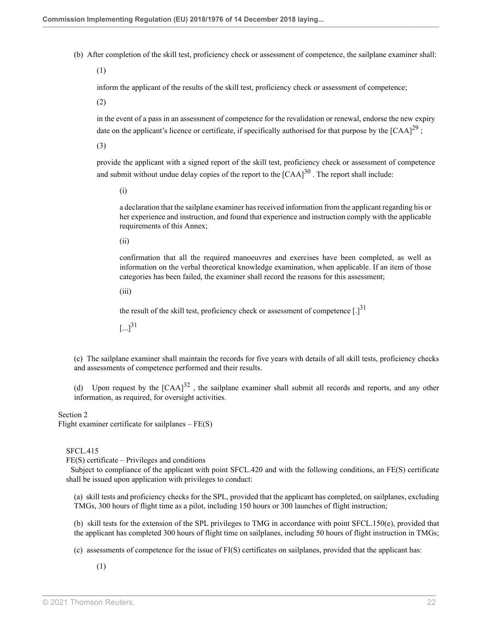(b) After completion of the skill test, proficiency check or assessment of competence, the sailplane examiner shall:

(1)

inform the applicant of the results of the skill test, proficiency check or assessment of competence;

(2)

in the event of a pass in an assessment of competence for the revalidation or renewal, endorse the new expiry date on the applicant's licence or certificate, if specifically authorised for that purpose by the  $[{\rm CAA}]^{29}$  $[{\rm CAA}]^{29}$  $[{\rm CAA}]^{29}$ ;

(3)

provide the applicant with a signed report of the skill test, proficiency check or assessment of competence and submit without undue delay copies of the report to the  $[{\rm CAA}]^{30}$  $[{\rm CAA}]^{30}$  $[{\rm CAA}]^{30}$  . The report shall include:

<span id="page-53-1"></span><span id="page-53-0"></span>(i)

a declaration that the sailplane examiner has received information from the applicant regarding his or her experience and instruction, and found that experience and instruction comply with the applicable requirements of this Annex;

(ii)

confirmation that all the required manoeuvres and exercises have been completed, as well as information on the verbal theoretical knowledge examination, when applicable. If an item of those categories has been failed, the examiner shall record the reasons for this assessment;

(iii)

<span id="page-53-2"></span>the result of the skill test, proficiency check or assessment of competence  $[.]^{31}$  $[.]^{31}$  $[.]^{31}$ 

<span id="page-53-3"></span> $[...]^{31}$  $[...]^{31}$  $[...]^{31}$ 

(c) The sailplane examiner shall maintain the records for five years with details of all skill tests, proficiency checks and assessments of competence performed and their results.

(d) Upon request by the  $[CAA]^{32}$  $[CAA]^{32}$  $[CAA]^{32}$ , the sailplane examiner shall submit all records and reports, and any other information, as required, for oversight activities.

#### Section 2

Flight examiner certificate for sailplanes  $-FE(S)$ 

#### SFCL.415

FE(S) certificate – Privileges and conditions

 Subject to compliance of the applicant with point SFCL.420 and with the following conditions, an FE(S) certificate shall be issued upon application with privileges to conduct:

(a) skill tests and proficiency checks for the SPL, provided that the applicant has completed, on sailplanes, excluding TMGs, 300 hours of flight time as a pilot, including 150 hours or 300 launches of flight instruction;

(b) skill tests for the extension of the SPL privileges to TMG in accordance with point SFCL.150(e), provided that the applicant has completed 300 hours of flight time on sailplanes, including 50 hours of flight instruction in TMGs;

(c) assessments of competence for the issue of FI(S) certificates on sailplanes, provided that the applicant has: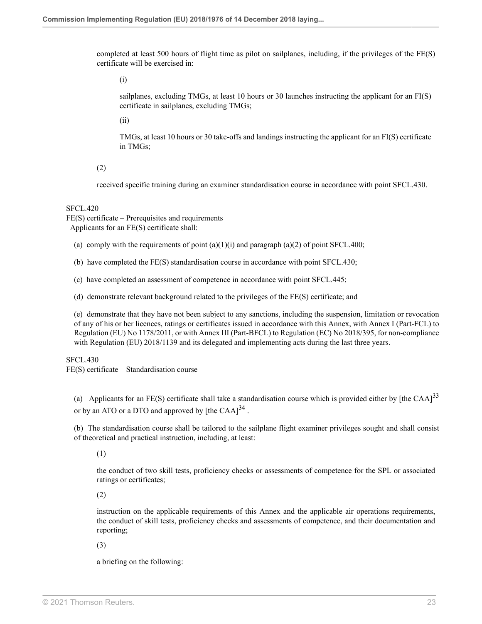completed at least 500 hours of flight time as pilot on sailplanes, including, if the privileges of the FE(S) certificate will be exercised in:

(i)

sailplanes, excluding TMGs, at least 10 hours or 30 launches instructing the applicant for an FI(S) certificate in sailplanes, excluding TMGs;

(ii)

TMGs, at least 10 hours or 30 take-offs and landings instructing the applicant for an FI(S) certificate in TMGs;

(2)

received specific training during an examiner standardisation course in accordance with point SFCL.430.

SFCL.420

FE(S) certificate – Prerequisites and requirements Applicants for an FE(S) certificate shall:

(a) comply with the requirements of point  $(a)(1)(i)$  and paragraph  $(a)(2)$  of point SFCL.400;

(b) have completed the FE(S) standardisation course in accordance with point SFCL.430;

(c) have completed an assessment of competence in accordance with point SFCL.445;

(d) demonstrate relevant background related to the privileges of the FE(S) certificate; and

(e) demonstrate that they have not been subject to any sanctions, including the suspension, limitation or revocation of any of his or her licences, ratings or certificates issued in accordance with this Annex, with Annex I (Part-FCL) to Regulation (EU) No 1178/2011, or with Annex III (Part-BFCL) to Regulation (EC) No 2018/395, for non-compliance with Regulation (EU) 2018/1139 and its delegated and implementing acts during the last three years.

SFCL.430 FE(S) certificate – Standardisation course

(a) Applicants for an FE(S) certificate shall take a standardisation course which is provided either by [the CAA] $^{33}$  $^{33}$  $^{33}$ or by an ATO or a DTO and approved by  $[the\,CAA]^{34}$  $[the\,CAA]^{34}$  $[the\,CAA]^{34}$ .

(b) The standardisation course shall be tailored to the sailplane flight examiner privileges sought and shall consist of theoretical and practical instruction, including, at least:

<span id="page-54-1"></span><span id="page-54-0"></span>(1)

the conduct of two skill tests, proficiency checks or assessments of competence for the SPL or associated ratings or certificates;

(2)

instruction on the applicable requirements of this Annex and the applicable air operations requirements, the conduct of skill tests, proficiency checks and assessments of competence, and their documentation and reporting;

(3)

a briefing on the following: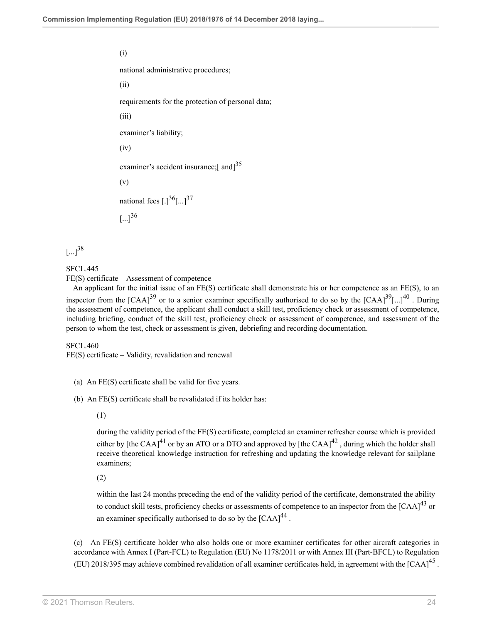(i)

national administrative procedures;

(ii)

requirements for the protection of personal data;

(iii)

examiner's liability;

(iv)

<span id="page-55-0"></span>examiner's accident insurance;[ and]<sup>[35](#page-57-11)</sup>

(v)

<span id="page-55-2"></span><span id="page-55-1"></span>national fees  $[.]^{36}$  $[.]^{36}$  $[.]^{36}$  $[...]^{37}$  $[...]^{37}$  $[...]^{37}$ 

<span id="page-55-5"></span> $\lbrack ... \rbrack^{36}$  $\lbrack ... \rbrack^{36}$  $\lbrack ... \rbrack^{36}$ 

<span id="page-55-3"></span> $[...]^{38}$  $[...]^{38}$  $[...]^{38}$ 

SFCL.445

FE(S) certificate – Assessment of competence

<span id="page-55-4"></span> An applicant for the initial issue of an FE(S) certificate shall demonstrate his or her competence as an FE(S), to an inspector from the [CAA]<sup>[39](#page-57-15)</sup> or to a senior examiner specifically authorised to do so by the [CAA]<sup>39</sup>[...]<sup>[40](#page-57-16)</sup>. During the assessment of competence, the applicant shall conduct a skill test, proficiency check or assessment of competence, including briefing, conduct of the skill test, proficiency check or assessment of competence, and assessment of the person to whom the test, check or assessment is given, debriefing and recording documentation.

SFCL.460

FE(S) certificate – Validity, revalidation and renewal

(b) An FE(S) certificate shall be revalidated if its holder has:

(1)

<span id="page-55-7"></span><span id="page-55-6"></span>during the validity period of the FE(S) certificate, completed an examiner refresher course which is provided either by [the CAA]<sup>[41](#page-57-17)</sup> or by an ATO or a DTO and approved by [the CAA]<sup>[42](#page-57-18)</sup>, during which the holder shall receive theoretical knowledge instruction for refreshing and updating the knowledge relevant for sailplane examiners;

(2)

<span id="page-55-10"></span><span id="page-55-9"></span><span id="page-55-8"></span>within the last 24 months preceding the end of the validity period of the certificate, demonstrated the ability to conduct skill tests, proficiency checks or assessments of competence to an inspector from the  $[{\rm CAA}]^{43}$  $[{\rm CAA}]^{43}$  $[{\rm CAA}]^{43}$  or an examiner specifically authorised to do so by the  $[{\rm CAA}]^{44}$  $[{\rm CAA}]^{44}$  $[{\rm CAA}]^{44}$ .

(c) An FE(S) certificate holder who also holds one or more examiner certificates for other aircraft categories in accordance with Annex I (Part-FCL) to Regulation (EU) No 1178/2011 or with Annex III (Part-BFCL) to Regulation (EU) 2018/395 may achieve combined revalidation of all examiner certificates held, in agreement with the [CAA]<sup>[45](#page-57-21)</sup>.

<sup>(</sup>a) An FE(S) certificate shall be valid for five years.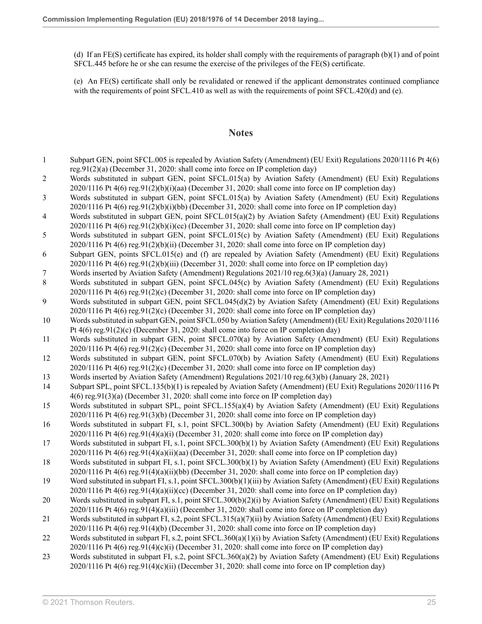(d) If an FE(S) certificate has expired, its holder shall comply with the requirements of paragraph (b)(1) and of point SFCL.445 before he or she can resume the exercise of the privileges of the FE(S) certificate.

(e) An FE(S) certificate shall only be revalidated or renewed if the applicant demonstrates continued compliance with the requirements of point SFCL.410 as well as with the requirements of point SFCL.420(d) and (e).

### **Notes**

- <span id="page-56-0"></span>[1](#page-32-0) Subpart GEN, point SFCL.005 is repealed by Aviation Safety (Amendment) (EU Exit) Regulations 2020/1116 [Pt 4\(6\)](http://uk.westlaw.com/Document/I2AF73DC00E9E11EBA7DFEE51C635DBBB/View/FullText.html?originationContext=document&transitionType=DocumentItem&vr=3.0&rs=PLUK1.0&contextData=(sc.Search)) [reg.91\(2\)\(a\)](http://uk.westlaw.com/Document/I2AF73DC00E9E11EBA7DFEE51C635DBBB/View/FullText.html?originationContext=document&transitionType=DocumentItem&vr=3.0&rs=PLUK1.0&contextData=(sc.Search)) (December 31, 2020: shall come into force on IP completion day)
- <span id="page-56-1"></span>[2](#page-32-1) Words substituted in subpart GEN, point SFCL.015(a) by Aviation Safety (Amendment) (EU Exit) Regulations  $2020/1116$  Pt  $4(6)$  reg. $91(2)(b)(i)(aa)$  (December 31, 2020: shall come into force on IP completion day)
- <span id="page-56-2"></span>[3](#page-32-2) Words substituted in subpart GEN, point SFCL.015(a) by Aviation Safety (Amendment) (EU Exit) Regulations 2020/1116 [Pt 4\(6\) reg.91\(2\)\(b\)\(i\)\(bb\)](http://uk.westlaw.com/Document/I2AF73DC00E9E11EBA7DFEE51C635DBBB/View/FullText.html?originationContext=document&transitionType=DocumentItem&vr=3.0&rs=PLUK1.0&contextData=(sc.Search)) (December 31, 2020: shall come into force on IP completion day)
- <span id="page-56-3"></span>[4](#page-32-3) Words substituted in subpart GEN, point SFCL.015(a)(2) by Aviation Safety (Amendment) (EU Exit) Regulations  $2020/1116$  Pt  $4(6)$  reg. $91(2)(b)(i)(cc)$  (December 31, 2020: shall come into force on IP completion day)
- <span id="page-56-4"></span>[5](#page-33-0) Words substituted in subpart GEN, point SFCL.015(c) by Aviation Safety (Amendment) (EU Exit) Regulations 2020/1116 [Pt 4\(6\) reg.91\(2\)\(b\)\(ii\)](http://uk.westlaw.com/Document/I2AF73DC00E9E11EBA7DFEE51C635DBBB/View/FullText.html?originationContext=document&transitionType=DocumentItem&vr=3.0&rs=PLUK1.0&contextData=(sc.Search)) (December 31, 2020: shall come into force on IP completion day)
- <span id="page-56-5"></span>[6](#page-33-1) Subpart GEN, points SFCL.015(e) and (f) are repealed by Aviation Safety (Amendment) (EU Exit) Regulations 2020/1116 [Pt 4\(6\) reg.91\(2\)\(b\)\(iii\)](http://uk.westlaw.com/Document/I2AF73DC00E9E11EBA7DFEE51C635DBBB/View/FullText.html?originationContext=document&transitionType=DocumentItem&vr=3.0&rs=PLUK1.0&contextData=(sc.Search)) (December 31, 2020: shall come into force on IP completion day)
- <span id="page-56-6"></span>[7](#page-33-2) Words inserted by Aviation Safety (Amendment) Regulations 2021/10 [reg.6\(3\)\(a\)](http://uk.westlaw.com/Document/IB05168A0523D11EBB02597D7573F1600/View/FullText.html?originationContext=document&transitionType=DocumentItem&vr=3.0&rs=PLUK1.0&contextData=(sc.Search)) (January 28, 2021)
- <span id="page-56-7"></span>[8](#page-33-3) Words substituted in subpart GEN, point SFCL.045(c) by Aviation Safety (Amendment) (EU Exit) Regulations 2020/1116 [Pt 4\(6\) reg.91\(2\)\(c\)](http://uk.westlaw.com/Document/I2AF73DC00E9E11EBA7DFEE51C635DBBB/View/FullText.html?originationContext=document&transitionType=DocumentItem&vr=3.0&rs=PLUK1.0&contextData=(sc.Search)) (December 31, 2020: shall come into force on IP completion day)
- <span id="page-56-8"></span>[9](#page-33-4) Words substituted in subpart GEN, point SFCL.045(d)(2) by Aviation Safety (Amendment) (EU Exit) Regulations 2020/1116 [Pt 4\(6\) reg.91\(2\)\(c\)](http://uk.westlaw.com/Document/I2AF73DC00E9E11EBA7DFEE51C635DBBB/View/FullText.html?originationContext=document&transitionType=DocumentItem&vr=3.0&rs=PLUK1.0&contextData=(sc.Search)) (December 31, 2020: shall come into force on IP completion day)
- <span id="page-56-9"></span>[10](#page-34-0) Words substituted in subpart GEN, point SFCL.050 by Aviation Safety (Amendment) (EU Exit) Regulations 2020/1116 [Pt 4\(6\) reg.91\(2\)\(c\)](http://uk.westlaw.com/Document/I2AF73DC00E9E11EBA7DFEE51C635DBBB/View/FullText.html?originationContext=document&transitionType=DocumentItem&vr=3.0&rs=PLUK1.0&contextData=(sc.Search)) (December 31, 2020: shall come into force on IP completion day)
- <span id="page-56-10"></span>[11](#page-34-1) Words substituted in subpart GEN, point SFCL.070(a) by Aviation Safety (Amendment) (EU Exit) Regulations  $2020/1116$  Pt  $4(6)$  reg. $91(2)(c)$  (December 31, 2020: shall come into force on IP completion day)
- <span id="page-56-11"></span>[12](#page-34-2) Words substituted in subpart GEN, point SFCL.070(b) by Aviation Safety (Amendment) (EU Exit) Regulations 2020/1116 [Pt 4\(6\) reg.91\(2\)\(c\)](http://uk.westlaw.com/Document/I2AF73DC00E9E11EBA7DFEE51C635DBBB/View/FullText.html?originationContext=document&transitionType=DocumentItem&vr=3.0&rs=PLUK1.0&contextData=(sc.Search)) (December 31, 2020: shall come into force on IP completion day)
- <span id="page-56-12"></span>[13](#page-35-0) Words inserted by Aviation Safety (Amendment) Regulations 2021/10 [reg.6\(3\)\(b\)](http://uk.westlaw.com/Document/IB05168A0523D11EBB02597D7573F1600/View/FullText.html?originationContext=document&transitionType=DocumentItem&vr=3.0&rs=PLUK1.0&contextData=(sc.Search)) (January 28, 2021)
- <span id="page-56-13"></span>[14](#page-37-0) Subpart SPL, point SFCL.135(b)(1) is repealed by Aviation Safety (Amendment) (EU Exit) Regulations 2020/1116 [Pt](http://uk.westlaw.com/Document/I2AF73DC00E9E11EBA7DFEE51C635DBBB/View/FullText.html?originationContext=document&transitionType=DocumentItem&vr=3.0&rs=PLUK1.0&contextData=(sc.Search)) [4\(6\) reg.91\(3\)\(a\)](http://uk.westlaw.com/Document/I2AF73DC00E9E11EBA7DFEE51C635DBBB/View/FullText.html?originationContext=document&transitionType=DocumentItem&vr=3.0&rs=PLUK1.0&contextData=(sc.Search)) (December 31, 2020: shall come into force on IP completion day)
- <span id="page-56-14"></span>[15](#page-40-0) Words substituted in subpart SPL, point SFCL.155(a)(4) by Aviation Safety (Amendment) (EU Exit) Regulations 2020/1116 [Pt 4\(6\) reg.91\(3\)\(b\)](http://uk.westlaw.com/Document/I2AF73DC00E9E11EBA7DFEE51C635DBBB/View/FullText.html?originationContext=document&transitionType=DocumentItem&vr=3.0&rs=PLUK1.0&contextData=(sc.Search)) (December 31, 2020: shall come into force on IP completion day)
- <span id="page-56-15"></span>[16](#page-45-0) Words substituted in subpart FI, s.1, point SFCL.300(b) by Aviation Safety (Amendment) (EU Exit) Regulations  $2020/1116$  Pt  $4(6)$  reg. $91(4)(a)(i)$  (December 31, 2020: shall come into force on IP completion day)
- <span id="page-56-16"></span>[17](#page-45-1) Words substituted in subpart FI, s.1, point SFCL.300(b)(1) by Aviation Safety (Amendment) (EU Exit) Regulations 2020/1116 [Pt 4\(6\) reg.91\(4\)\(a\)\(ii\)\(aa\)](http://uk.westlaw.com/Document/I2AF73DC00E9E11EBA7DFEE51C635DBBB/View/FullText.html?originationContext=document&transitionType=DocumentItem&vr=3.0&rs=PLUK1.0&contextData=(sc.Search)) (December 31, 2020: shall come into force on IP completion day)
- <span id="page-56-17"></span>[18](#page-45-2) Words substituted in subpart FI, s.1, point SFCL.300(b)(1) by Aviation Safety (Amendment) (EU Exit) Regulations 2020/1116 [Pt 4\(6\) reg.91\(4\)\(a\)\(ii\)\(bb\)](http://uk.westlaw.com/Document/I2AF73DC00E9E11EBA7DFEE51C635DBBB/View/FullText.html?originationContext=document&transitionType=DocumentItem&vr=3.0&rs=PLUK1.0&contextData=(sc.Search)) (December 31, 2020: shall come into force on IP completion day)
- <span id="page-56-18"></span>[19](#page-46-0) Word substituted in subpart FI, s.1, point SFCL.300(b)(1)(iii) by Aviation Safety (Amendment) (EU Exit) Regulations 2020/1116 [Pt 4\(6\) reg.91\(4\)\(a\)\(ii\)\(cc\)](http://uk.westlaw.com/Document/I2AF73DC00E9E11EBA7DFEE51C635DBBB/View/FullText.html?originationContext=document&transitionType=DocumentItem&vr=3.0&rs=PLUK1.0&contextData=(sc.Search)) (December 31, 2020: shall come into force on IP completion day)
- <span id="page-56-19"></span>[20](#page-46-1) Words substituted in subpart FI, s.1, point SFCL.300(b)(2)(i) by Aviation Safety (Amendment) (EU Exit) Regulations 2020/1116 [Pt 4\(6\) reg.91\(4\)\(a\)\(iii\)](http://uk.westlaw.com/Document/I2AF73DC00E9E11EBA7DFEE51C635DBBB/View/FullText.html?originationContext=document&transitionType=DocumentItem&vr=3.0&rs=PLUK1.0&contextData=(sc.Search)) (December 31, 2020: shall come into force on IP completion day)
- <span id="page-56-20"></span>[21](#page-47-0) Words substituted in subpart FI, s.2, point SFCL.315(a)(7)(ii) by Aviation Safety (Amendment) (EU Exit) Regulations 2020/1116 [Pt 4\(6\) reg.91\(4\)\(b\)](http://uk.westlaw.com/Document/I2AF73DC00E9E11EBA7DFEE51C635DBBB/View/FullText.html?originationContext=document&transitionType=DocumentItem&vr=3.0&rs=PLUK1.0&contextData=(sc.Search)) (December 31, 2020: shall come into force on IP completion day)
- <span id="page-56-21"></span>[22](#page-50-0) Words substituted in subpart FI, s.2, point SFCL.360(a)(1)(i) by Aviation Safety (Amendment) (EU Exit) Regulations  $2020/1116$  Pt  $4(6)$  reg. $91(4)(c)(i)$  (December 31, 2020: shall come into force on IP completion day)
- <span id="page-56-22"></span>[23](#page-51-0) Words substituted in subpart FI, s.2, point SFCL.360(a)(2) by Aviation Safety (Amendment) (EU Exit) Regulations 2020/1116 [Pt 4\(6\) reg.91\(4\)\(c\)\(ii\)](http://uk.westlaw.com/Document/I2AF73DC00E9E11EBA7DFEE51C635DBBB/View/FullText.html?originationContext=document&transitionType=DocumentItem&vr=3.0&rs=PLUK1.0&contextData=(sc.Search)) (December 31, 2020: shall come into force on IP completion day)